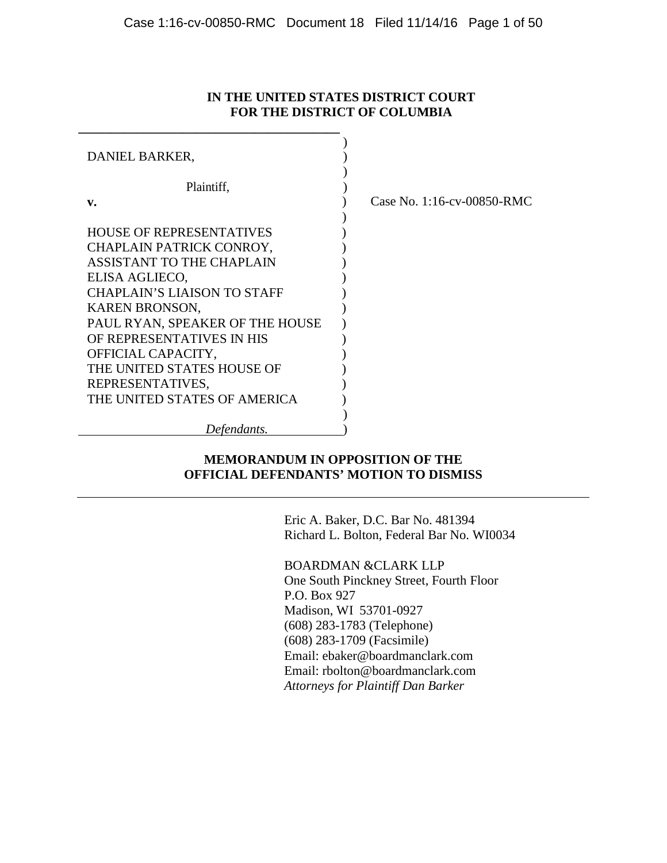## **IN THE UNITED STATES DISTRICT COURT FOR THE DISTRICT OF COLUMBIA**

| DANIEL BARKER,                     |                            |
|------------------------------------|----------------------------|
| Plaintiff,                         |                            |
| v.                                 | Case No. 1:16-cv-00850-RMC |
|                                    |                            |
| <b>HOUSE OF REPRESENTATIVES</b>    |                            |
| CHAPLAIN PATRICK CONROY,           |                            |
| <b>ASSISTANT TO THE CHAPLAIN</b>   |                            |
| ELISA AGLIECO,                     |                            |
| <b>CHAPLAIN'S LIAISON TO STAFF</b> |                            |
| <b>KAREN BRONSON,</b>              |                            |
| PAUL RYAN, SPEAKER OF THE HOUSE    |                            |
| OF REPRESENTATIVES IN HIS          |                            |
| OFFICIAL CAPACITY,                 |                            |
| THE UNITED STATES HOUSE OF         |                            |
| REPRESENTATIVES,                   |                            |
| THE UNITED STATES OF AMERICA       |                            |
|                                    |                            |
| Defendants.                        |                            |

## **MEMORANDUM IN OPPOSITION OF THE OFFICIAL DEFENDANTS' MOTION TO DISMISS**

Eric A. Baker, D.C. Bar No. 481394 Richard L. Bolton, Federal Bar No. WI0034

BOARDMAN &CLARK LLP One South Pinckney Street, Fourth Floor P.O. Box 927 Madison, WI 53701-0927 (608) 283-1783 (Telephone) (608) 283-1709 (Facsimile) Email: ebaker@boardmanclark.com Email: rbolton@boardmanclark.com

*Attorneys for Plaintiff Dan Barker*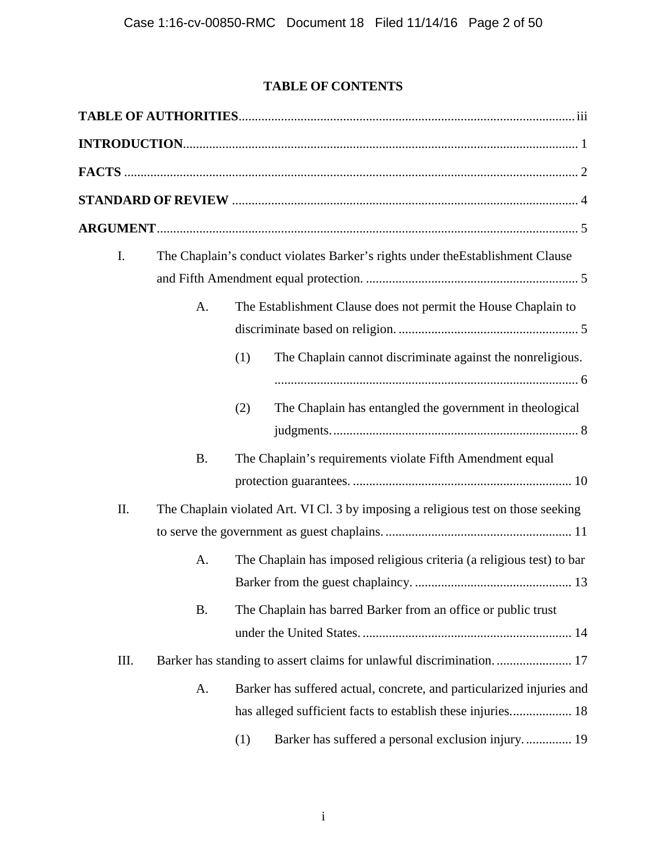# **TABLE OF CONTENTS**

| I.  |           |            | The Chaplain's conduct violates Barker's rights under the Establishment Clause                                                                             |
|-----|-----------|------------|------------------------------------------------------------------------------------------------------------------------------------------------------------|
|     | A.        |            | The Establishment Clause does not permit the House Chaplain to                                                                                             |
|     |           | (1)<br>(2) | The Chaplain cannot discriminate against the nonreligious.<br>The Chaplain has entangled the government in theological                                     |
|     | <b>B.</b> |            | The Chaplain's requirements violate Fifth Amendment equal                                                                                                  |
| II. | A.        |            | The Chaplain violated Art. VI Cl. 3 by imposing a religious test on those seeking<br>The Chaplain has imposed religious criteria (a religious test) to bar |
|     | <b>B.</b> |            | The Chaplain has barred Barker from an office or public trust                                                                                              |
| Ш.  | A.        |            | Barker has suffered actual, concrete, and particularized injuries and                                                                                      |
|     |           | (1)        | Barker has suffered a personal exclusion injury 19                                                                                                         |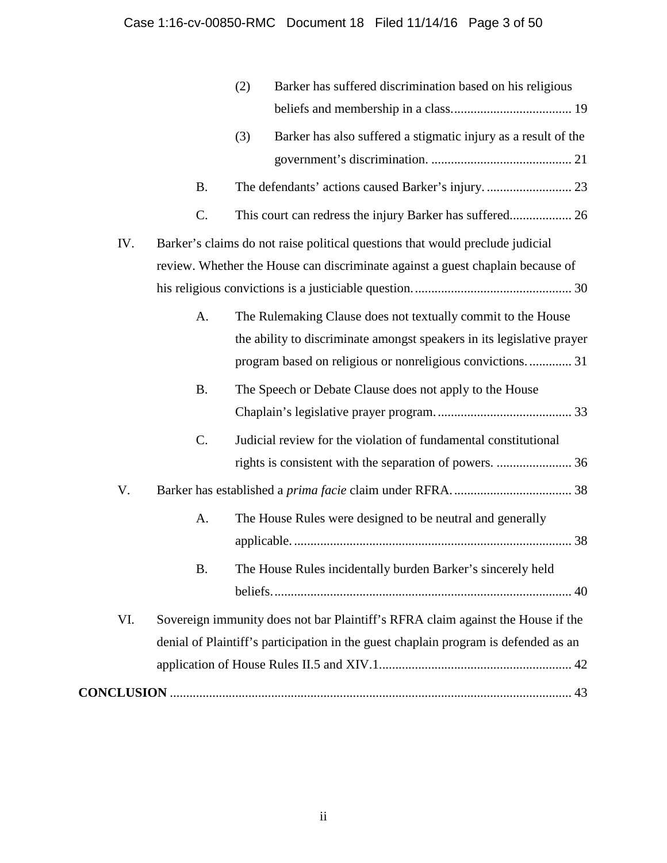|     |                                                                                     | (2) | Barker has suffered discrimination based on his religious                       |  |
|-----|-------------------------------------------------------------------------------------|-----|---------------------------------------------------------------------------------|--|
|     |                                                                                     |     |                                                                                 |  |
|     |                                                                                     | (3) | Barker has also suffered a stigmatic injury as a result of the                  |  |
|     |                                                                                     |     |                                                                                 |  |
|     | <b>B.</b>                                                                           |     | The defendants' actions caused Barker's injury.  23                             |  |
|     | $C$ .                                                                               |     |                                                                                 |  |
| IV. |                                                                                     |     | Barker's claims do not raise political questions that would preclude judicial   |  |
|     |                                                                                     |     | review. Whether the House can discriminate against a guest chaplain because of  |  |
|     |                                                                                     |     |                                                                                 |  |
|     | A.                                                                                  |     | The Rulemaking Clause does not textually commit to the House                    |  |
|     |                                                                                     |     | the ability to discriminate amongst speakers in its legislative prayer          |  |
|     |                                                                                     |     | program based on religious or nonreligious convictions 31                       |  |
|     | <b>B.</b>                                                                           |     | The Speech or Debate Clause does not apply to the House                         |  |
|     |                                                                                     |     |                                                                                 |  |
|     | C.                                                                                  |     | Judicial review for the violation of fundamental constitutional                 |  |
|     |                                                                                     |     |                                                                                 |  |
| V.  |                                                                                     |     |                                                                                 |  |
|     | A.                                                                                  |     | The House Rules were designed to be neutral and generally                       |  |
|     |                                                                                     |     |                                                                                 |  |
|     | В.                                                                                  |     | The House Rules incidentally burden Barker's sincerely held                     |  |
|     |                                                                                     |     |                                                                                 |  |
| VI. |                                                                                     |     | Sovereign immunity does not bar Plaintiff's RFRA claim against the House if the |  |
|     | denial of Plaintiff's participation in the guest chaplain program is defended as an |     |                                                                                 |  |
|     |                                                                                     |     |                                                                                 |  |
|     |                                                                                     |     |                                                                                 |  |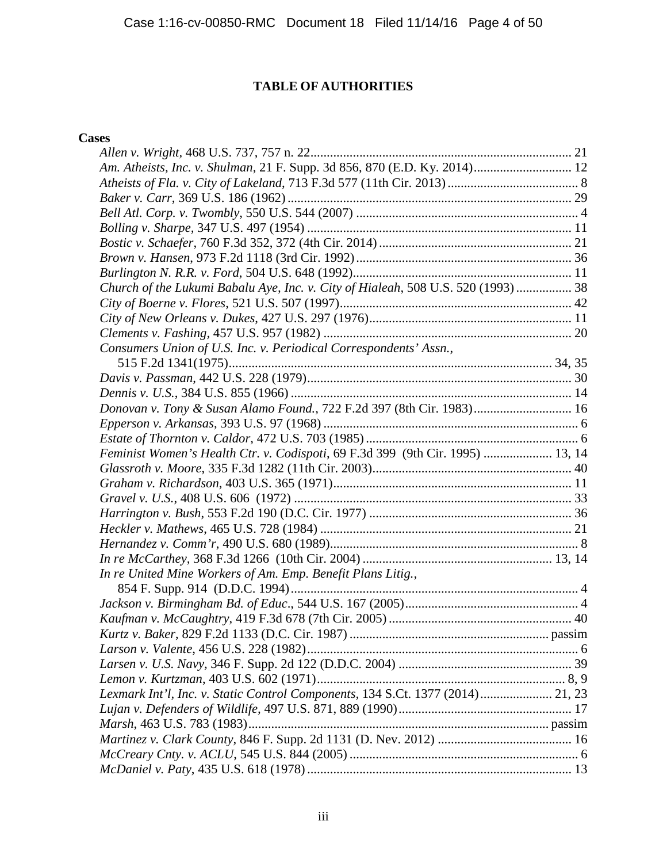# **TABLE OF AUTHORITIES**

## **Cases**

| Am. Atheists, Inc. v. Shulman, 21 F. Supp. 3d 856, 870 (E.D. Ky. 2014) 12         |  |
|-----------------------------------------------------------------------------------|--|
|                                                                                   |  |
|                                                                                   |  |
|                                                                                   |  |
|                                                                                   |  |
|                                                                                   |  |
|                                                                                   |  |
|                                                                                   |  |
| Church of the Lukumi Babalu Aye, Inc. v. City of Hialeah, 508 U.S. 520 (1993)  38 |  |
|                                                                                   |  |
|                                                                                   |  |
|                                                                                   |  |
| Consumers Union of U.S. Inc. v. Periodical Correspondents' Assn.,                 |  |
|                                                                                   |  |
|                                                                                   |  |
|                                                                                   |  |
| Donovan v. Tony & Susan Alamo Found., 722 F.2d 397 (8th Cir. 1983) 16             |  |
|                                                                                   |  |
|                                                                                   |  |
| Feminist Women's Health Ctr. v. Codispoti, 69 F.3d 399 (9th Cir. 1995)  13, 14    |  |
|                                                                                   |  |
|                                                                                   |  |
|                                                                                   |  |
|                                                                                   |  |
|                                                                                   |  |
|                                                                                   |  |
|                                                                                   |  |
| In re United Mine Workers of Am. Emp. Benefit Plans Litig.,                       |  |
|                                                                                   |  |
|                                                                                   |  |
|                                                                                   |  |
|                                                                                   |  |
|                                                                                   |  |
|                                                                                   |  |
|                                                                                   |  |
| Lexmark Int'l, Inc. v. Static Control Components, 134 S.Ct. 1377 (2014) 21, 23    |  |
|                                                                                   |  |
|                                                                                   |  |
|                                                                                   |  |
|                                                                                   |  |
|                                                                                   |  |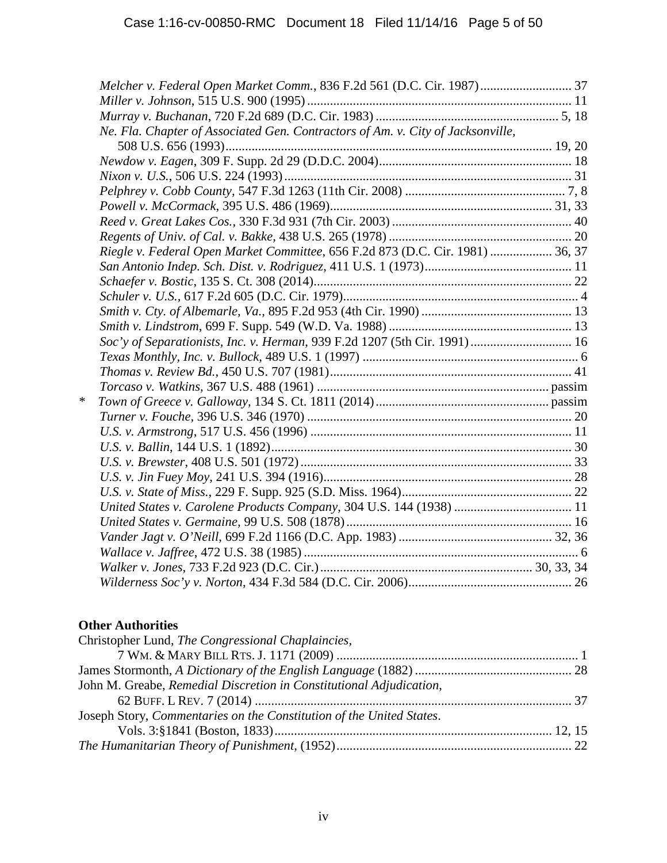|   | Melcher v. Federal Open Market Comm., 836 F.2d 561 (D.C. Cir. 1987) 37          |  |
|---|---------------------------------------------------------------------------------|--|
|   |                                                                                 |  |
|   |                                                                                 |  |
|   | Ne. Fla. Chapter of Associated Gen. Contractors of Am. v. City of Jacksonville, |  |
|   |                                                                                 |  |
|   |                                                                                 |  |
|   |                                                                                 |  |
|   |                                                                                 |  |
|   |                                                                                 |  |
|   |                                                                                 |  |
|   |                                                                                 |  |
|   | Riegle v. Federal Open Market Committee, 656 F.2d 873 (D.C. Cir. 1981)  36, 37  |  |
|   |                                                                                 |  |
|   |                                                                                 |  |
|   |                                                                                 |  |
|   |                                                                                 |  |
|   |                                                                                 |  |
|   | Soc'y of Separationists, Inc. v. Herman, 939 F.2d 1207 (5th Cir. 1991)  16      |  |
|   |                                                                                 |  |
|   |                                                                                 |  |
|   |                                                                                 |  |
| ∗ |                                                                                 |  |
|   |                                                                                 |  |
|   |                                                                                 |  |
|   |                                                                                 |  |
|   |                                                                                 |  |
|   |                                                                                 |  |
|   |                                                                                 |  |
|   | United States v. Carolene Products Company, 304 U.S. 144 (1938)  11             |  |
|   |                                                                                 |  |
|   |                                                                                 |  |
|   |                                                                                 |  |
|   |                                                                                 |  |
|   |                                                                                 |  |

# **Other Authorities**

| Christopher Lund, The Congressional Chaplaincies,                    |  |
|----------------------------------------------------------------------|--|
|                                                                      |  |
|                                                                      |  |
| John M. Greabe, Remedial Discretion in Constitutional Adjudication,  |  |
|                                                                      |  |
| Joseph Story, Commentaries on the Constitution of the United States. |  |
|                                                                      |  |
|                                                                      |  |
|                                                                      |  |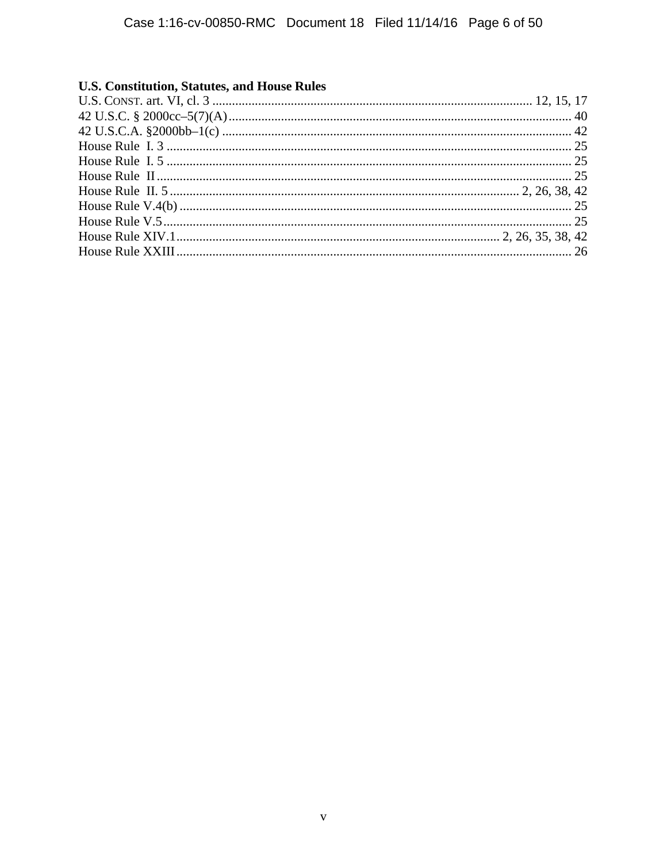# **U.S. Constitution, Statutes, and House Rules**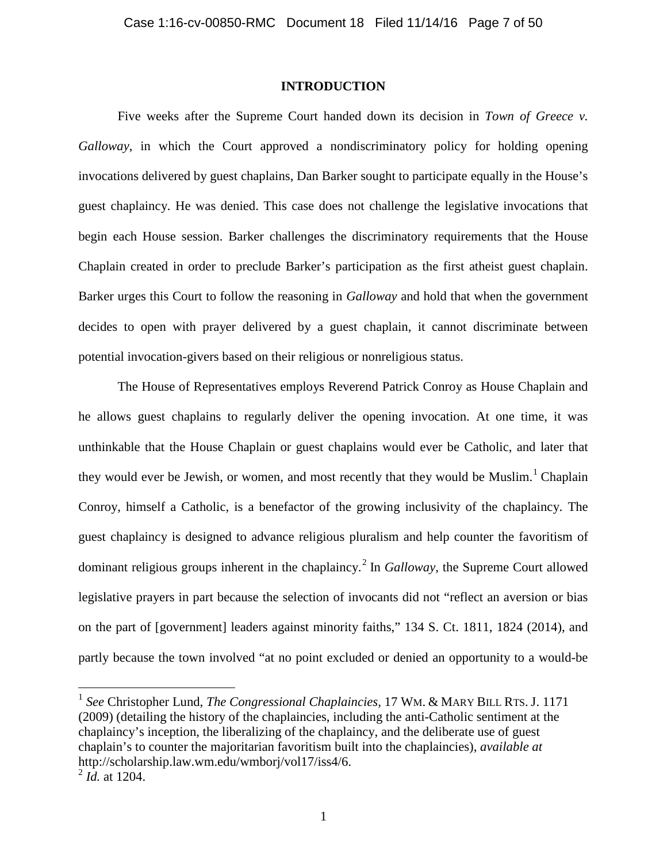#### **INTRODUCTION**

Five weeks after the Supreme Court handed down its decision in *Town of Greece v. Galloway*, in which the Court approved a nondiscriminatory policy for holding opening invocations delivered by guest chaplains, Dan Barker sought to participate equally in the House's guest chaplaincy. He was denied. This case does not challenge the legislative invocations that begin each House session. Barker challenges the discriminatory requirements that the House Chaplain created in order to preclude Barker's participation as the first atheist guest chaplain. Barker urges this Court to follow the reasoning in *Galloway* and hold that when the government decides to open with prayer delivered by a guest chaplain, it cannot discriminate between potential invocation-givers based on their religious or nonreligious status.

The House of Representatives employs Reverend Patrick Conroy as House Chaplain and he allows guest chaplains to regularly deliver the opening invocation. At one time, it was unthinkable that the House Chaplain or guest chaplains would ever be Catholic, and later that they would ever be Jewish, or women, and most recently that they would be Muslim.<sup>1</sup> Chaplain Conroy, himself a Catholic, is a benefactor of the growing inclusivity of the chaplaincy. The guest chaplaincy is designed to advance religious pluralism and help counter the favoritism of dominant religious groups inherent in the chaplaincy.<sup>2</sup> In *Galloway*, the Supreme Court allowed legislative prayers in part because the selection of invocants did not "reflect an aversion or bias on the part of [government] leaders against minority faiths," 134 S. Ct. 1811, 1824 (2014), and partly because the town involved "at no point excluded or denied an opportunity to a would-be

 $\overline{a}$ 

<sup>1</sup> *See* Christopher Lund, *The Congressional Chaplaincies,* 17 WM. & MARY BILL RTS. J. 1171 (2009) (detailing the history of the chaplaincies, including the anti-Catholic sentiment at the chaplaincy's inception, the liberalizing of the chaplaincy, and the deliberate use of guest chaplain's to counter the majoritarian favoritism built into the chaplaincies), *available at* http://scholarship.law.wm.edu/wmborj/vol17/iss4/6.

<sup>2</sup> *Id.* at 1204.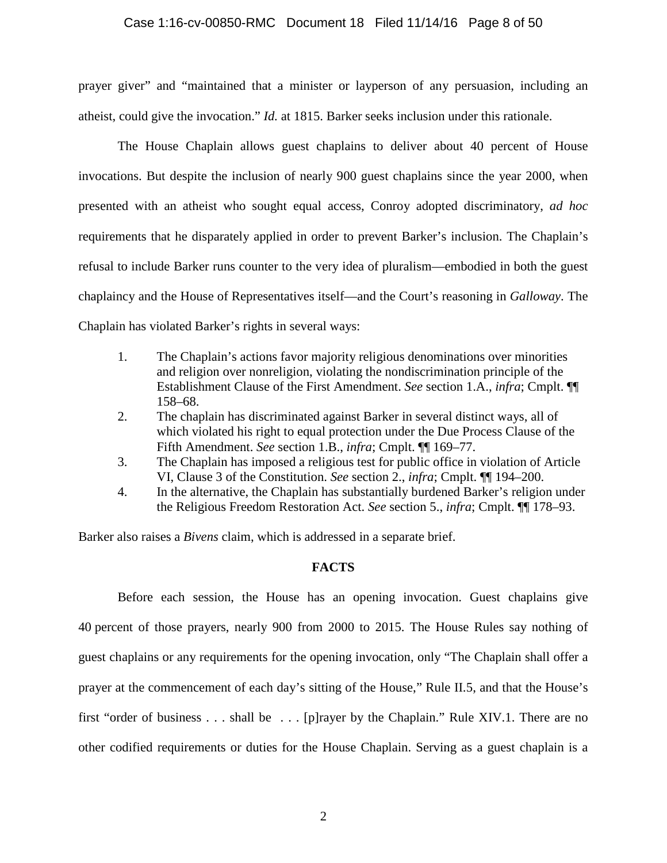#### Case 1:16-cv-00850-RMC Document 18 Filed 11/14/16 Page 8 of 50

prayer giver" and "maintained that a minister or layperson of any persuasion, including an atheist, could give the invocation." *Id.* at 1815. Barker seeks inclusion under this rationale.

The House Chaplain allows guest chaplains to deliver about 40 percent of House invocations. But despite the inclusion of nearly 900 guest chaplains since the year 2000, when presented with an atheist who sought equal access, Conroy adopted discriminatory, *ad hoc* requirements that he disparately applied in order to prevent Barker's inclusion. The Chaplain's refusal to include Barker runs counter to the very idea of pluralism—embodied in both the guest chaplaincy and the House of Representatives itself—and the Court's reasoning in *Galloway*. The Chaplain has violated Barker's rights in several ways:

- 1. The Chaplain's actions favor majority religious denominations over minorities and religion over nonreligion, violating the nondiscrimination principle of the Establishment Clause of the First Amendment. *See* section 1.A., *infra*; Cmplt. ¶¶ 158–68.
- 2. The chaplain has discriminated against Barker in several distinct ways, all of which violated his right to equal protection under the Due Process Clause of the Fifth Amendment. *See* section 1.B., *infra*; Cmplt. ¶¶ 169–77.
- 3. The Chaplain has imposed a religious test for public office in violation of Article VI, Clause 3 of the Constitution. *See* section 2., *infra*; Cmplt. ¶¶ 194–200.
- 4. In the alternative, the Chaplain has substantially burdened Barker's religion under the Religious Freedom Restoration Act. *See* section 5., *infra*; Cmplt. ¶¶ 178–93.

Barker also raises a *Bivens* claim, which is addressed in a separate brief.

#### **FACTS**

Before each session, the House has an opening invocation. Guest chaplains give 40 percent of those prayers, nearly 900 from 2000 to 2015. The House Rules say nothing of guest chaplains or any requirements for the opening invocation, only "The Chaplain shall offer a prayer at the commencement of each day's sitting of the House," Rule II.5, and that the House's first "order of business . . . shall be . . . [p]rayer by the Chaplain." Rule XIV.1. There are no other codified requirements or duties for the House Chaplain. Serving as a guest chaplain is a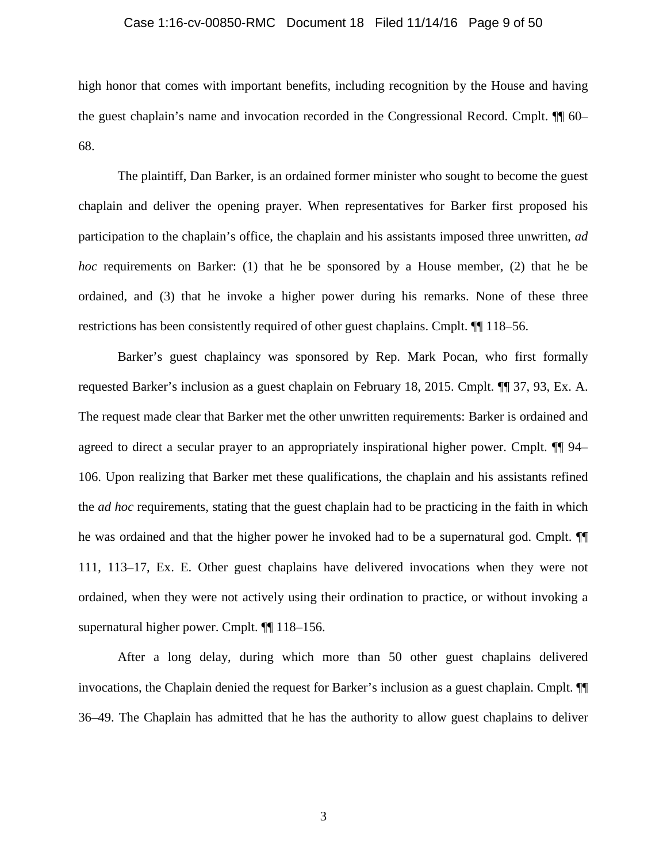#### Case 1:16-cv-00850-RMC Document 18 Filed 11/14/16 Page 9 of 50

high honor that comes with important benefits, including recognition by the House and having the guest chaplain's name and invocation recorded in the Congressional Record. Cmplt. ¶¶ 60– 68.

The plaintiff, Dan Barker, is an ordained former minister who sought to become the guest chaplain and deliver the opening prayer. When representatives for Barker first proposed his participation to the chaplain's office, the chaplain and his assistants imposed three unwritten, *ad hoc* requirements on Barker: (1) that he be sponsored by a House member, (2) that he be ordained, and (3) that he invoke a higher power during his remarks. None of these three restrictions has been consistently required of other guest chaplains. Cmplt. ¶¶ 118–56.

Barker's guest chaplaincy was sponsored by Rep. Mark Pocan, who first formally requested Barker's inclusion as a guest chaplain on February 18, 2015. Cmplt. ¶¶ 37, 93, Ex. A. The request made clear that Barker met the other unwritten requirements: Barker is ordained and agreed to direct a secular prayer to an appropriately inspirational higher power. Cmplt. ¶¶ 94– 106. Upon realizing that Barker met these qualifications, the chaplain and his assistants refined the *ad hoc* requirements, stating that the guest chaplain had to be practicing in the faith in which he was ordained and that the higher power he invoked had to be a supernatural god. Cmplt. ¶¶ 111, 113–17, Ex. E. Other guest chaplains have delivered invocations when they were not ordained, when they were not actively using their ordination to practice, or without invoking a supernatural higher power. Cmplt. ¶¶ 118–156.

After a long delay, during which more than 50 other guest chaplains delivered invocations, the Chaplain denied the request for Barker's inclusion as a guest chaplain. Cmplt. ¶¶ 36–49. The Chaplain has admitted that he has the authority to allow guest chaplains to deliver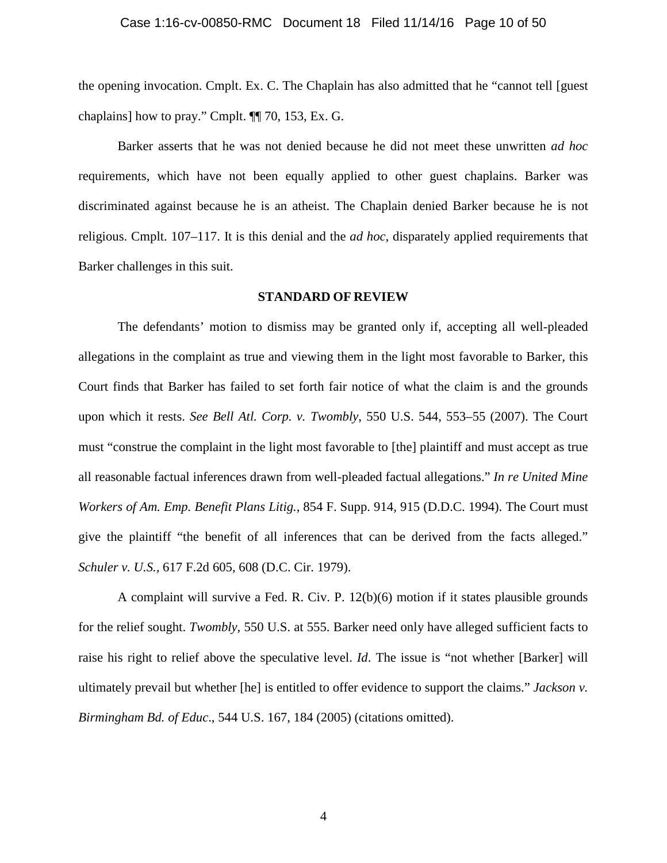the opening invocation. Cmplt. Ex. C. The Chaplain has also admitted that he "cannot tell [guest chaplains] how to pray." Cmplt. ¶¶ 70, 153, Ex. G.

Barker asserts that he was not denied because he did not meet these unwritten *ad hoc* requirements, which have not been equally applied to other guest chaplains. Barker was discriminated against because he is an atheist. The Chaplain denied Barker because he is not religious. Cmplt. 107–117. It is this denial and the *ad hoc*, disparately applied requirements that Barker challenges in this suit.

#### **STANDARD OF REVIEW**

The defendants' motion to dismiss may be granted only if, accepting all well-pleaded allegations in the complaint as true and viewing them in the light most favorable to Barker, this Court finds that Barker has failed to set forth fair notice of what the claim is and the grounds upon which it rests. *See Bell Atl. Corp. v. Twombly*, 550 U.S. 544, 553–55 (2007). The Court must "construe the complaint in the light most favorable to [the] plaintiff and must accept as true all reasonable factual inferences drawn from well-pleaded factual allegations." *In re United Mine Workers of Am. Emp. Benefit Plans Litig.,* 854 F. Supp. 914, 915 (D.D.C. 1994). The Court must give the plaintiff "the benefit of all inferences that can be derived from the facts alleged." *Schuler v. U.S.,* 617 F.2d 605, 608 (D.C. Cir. 1979).

A complaint will survive a Fed. R. Civ. P. 12(b)(6) motion if it states plausible grounds for the relief sought. *Twombly*, 550 U.S. at 555. Barker need only have alleged sufficient facts to raise his right to relief above the speculative level. *Id*. The issue is "not whether [Barker] will ultimately prevail but whether [he] is entitled to offer evidence to support the claims." *Jackson v. Birmingham Bd. of Educ*., 544 U.S. 167, 184 (2005) (citations omitted).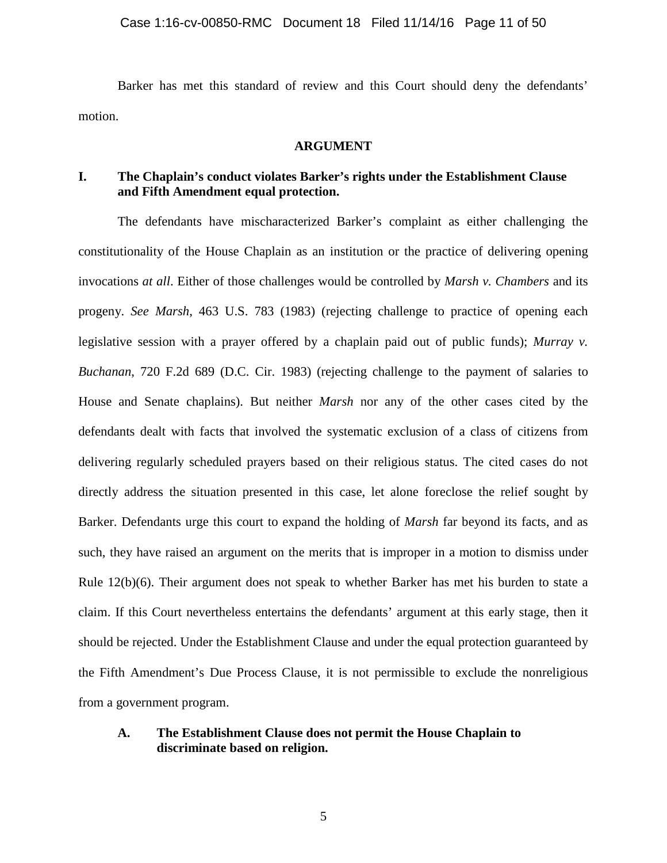Barker has met this standard of review and this Court should deny the defendants' motion.

#### **ARGUMENT**

## **I. The Chaplain's conduct violates Barker's rights under the Establishment Clause and Fifth Amendment equal protection.**

The defendants have mischaracterized Barker's complaint as either challenging the constitutionality of the House Chaplain as an institution or the practice of delivering opening invocations *at all*. Either of those challenges would be controlled by *Marsh v. Chambers* and its progeny. *See Marsh*, 463 U.S. 783 (1983) (rejecting challenge to practice of opening each legislative session with a prayer offered by a chaplain paid out of public funds); *Murray v. Buchanan*, 720 F.2d 689 (D.C. Cir. 1983) (rejecting challenge to the payment of salaries to House and Senate chaplains). But neither *Marsh* nor any of the other cases cited by the defendants dealt with facts that involved the systematic exclusion of a class of citizens from delivering regularly scheduled prayers based on their religious status. The cited cases do not directly address the situation presented in this case, let alone foreclose the relief sought by Barker. Defendants urge this court to expand the holding of *Marsh* far beyond its facts, and as such, they have raised an argument on the merits that is improper in a motion to dismiss under Rule 12(b)(6). Their argument does not speak to whether Barker has met his burden to state a claim. If this Court nevertheless entertains the defendants' argument at this early stage, then it should be rejected. Under the Establishment Clause and under the equal protection guaranteed by the Fifth Amendment's Due Process Clause, it is not permissible to exclude the nonreligious from a government program.

## **A. The Establishment Clause does not permit the House Chaplain to discriminate based on religion.**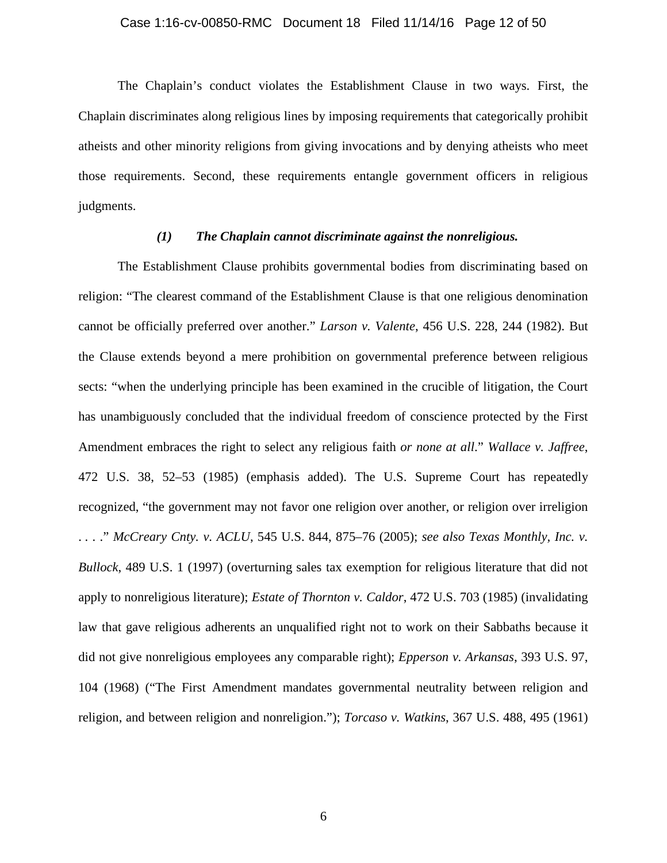#### Case 1:16-cv-00850-RMC Document 18 Filed 11/14/16 Page 12 of 50

The Chaplain's conduct violates the Establishment Clause in two ways. First, the Chaplain discriminates along religious lines by imposing requirements that categorically prohibit atheists and other minority religions from giving invocations and by denying atheists who meet those requirements. Second, these requirements entangle government officers in religious judgments.

#### *(1) The Chaplain cannot discriminate against the nonreligious.*

The Establishment Clause prohibits governmental bodies from discriminating based on religion: "The clearest command of the Establishment Clause is that one religious denomination cannot be officially preferred over another." *Larson v. Valente*, 456 U.S. 228, 244 (1982). But the Clause extends beyond a mere prohibition on governmental preference between religious sects: "when the underlying principle has been examined in the crucible of litigation, the Court has unambiguously concluded that the individual freedom of conscience protected by the First Amendment embraces the right to select any religious faith *or none at all*." *Wallace v. Jaffree*, 472 U.S. 38, 52–53 (1985) (emphasis added). The U.S. Supreme Court has repeatedly recognized, "the government may not favor one religion over another, or religion over irreligion . . . ." *McCreary Cnty. v. ACLU*, 545 U.S. 844, 875–76 (2005); *see also Texas Monthly, Inc. v. Bullock*, 489 U.S. 1 (1997) (overturning sales tax exemption for religious literature that did not apply to nonreligious literature); *Estate of Thornton v. Caldor*, 472 U.S. 703 (1985) (invalidating law that gave religious adherents an unqualified right not to work on their Sabbaths because it did not give nonreligious employees any comparable right); *Epperson v. Arkansas*, 393 U.S. 97, 104 (1968) ("The First Amendment mandates governmental neutrality between religion and religion, and between religion and nonreligion."); *Torcaso v. Watkins*, 367 U.S. 488, 495 (1961)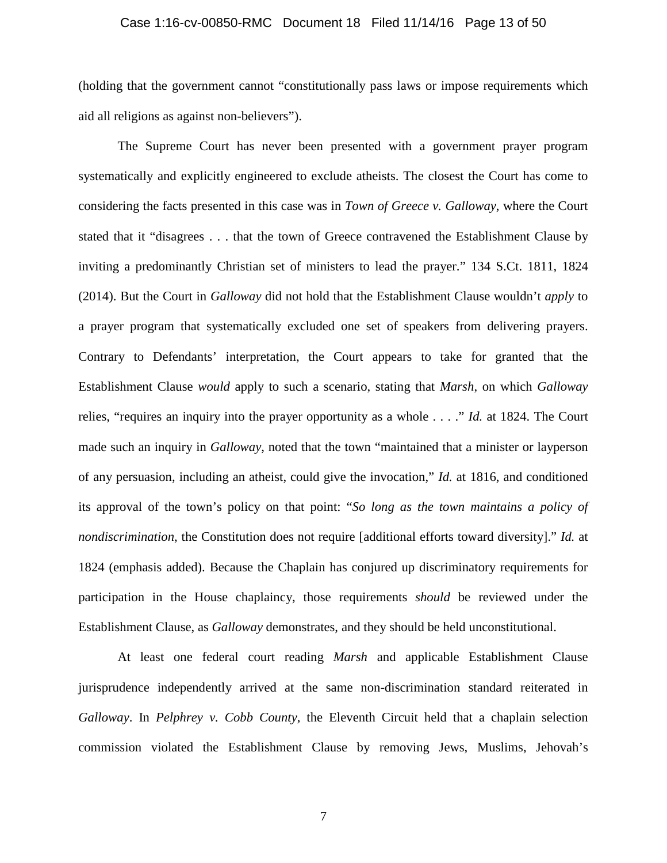#### Case 1:16-cv-00850-RMC Document 18 Filed 11/14/16 Page 13 of 50

(holding that the government cannot "constitutionally pass laws or impose requirements which aid all religions as against non-believers").

The Supreme Court has never been presented with a government prayer program systematically and explicitly engineered to exclude atheists. The closest the Court has come to considering the facts presented in this case was in *Town of Greece v. Galloway*, where the Court stated that it "disagrees . . . that the town of Greece contravened the Establishment Clause by inviting a predominantly Christian set of ministers to lead the prayer." 134 S.Ct. 1811, 1824 (2014). But the Court in *Galloway* did not hold that the Establishment Clause wouldn't *apply* to a prayer program that systematically excluded one set of speakers from delivering prayers. Contrary to Defendants' interpretation, the Court appears to take for granted that the Establishment Clause *would* apply to such a scenario, stating that *Marsh*, on which *Galloway* relies, "requires an inquiry into the prayer opportunity as a whole . . . ." *Id.* at 1824. The Court made such an inquiry in *Galloway*, noted that the town "maintained that a minister or layperson of any persuasion, including an atheist, could give the invocation," *Id.* at 1816, and conditioned its approval of the town's policy on that point: "*So long as the town maintains a policy of nondiscrimination*, the Constitution does not require [additional efforts toward diversity]." *Id.* at 1824 (emphasis added). Because the Chaplain has conjured up discriminatory requirements for participation in the House chaplaincy, those requirements *should* be reviewed under the Establishment Clause, as *Galloway* demonstrates, and they should be held unconstitutional.

At least one federal court reading *Marsh* and applicable Establishment Clause jurisprudence independently arrived at the same non-discrimination standard reiterated in *Galloway*. In *Pelphrey v. Cobb County*, the Eleventh Circuit held that a chaplain selection commission violated the Establishment Clause by removing Jews, Muslims, Jehovah's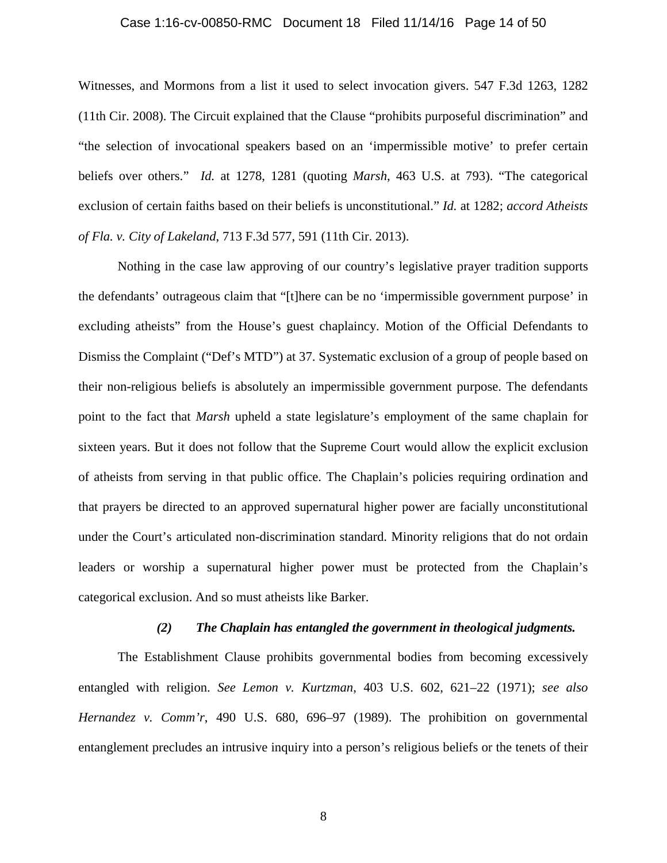#### Case 1:16-cv-00850-RMC Document 18 Filed 11/14/16 Page 14 of 50

Witnesses, and Mormons from a list it used to select invocation givers. 547 F.3d 1263, 1282 (11th Cir. 2008). The Circuit explained that the Clause "prohibits purposeful discrimination" and "the selection of invocational speakers based on an 'impermissible motive' to prefer certain beliefs over others." *Id.* at 1278, 1281 (quoting *Marsh*, 463 U.S. at 793). "The categorical exclusion of certain faiths based on their beliefs is unconstitutional." *Id.* at 1282; *accord Atheists of Fla. v. City of Lakeland*, 713 F.3d 577, 591 (11th Cir. 2013).

Nothing in the case law approving of our country's legislative prayer tradition supports the defendants' outrageous claim that "[t]here can be no 'impermissible government purpose' in excluding atheists" from the House's guest chaplaincy. Motion of the Official Defendants to Dismiss the Complaint ("Def's MTD") at 37. Systematic exclusion of a group of people based on their non-religious beliefs is absolutely an impermissible government purpose. The defendants point to the fact that *Marsh* upheld a state legislature's employment of the same chaplain for sixteen years. But it does not follow that the Supreme Court would allow the explicit exclusion of atheists from serving in that public office. The Chaplain's policies requiring ordination and that prayers be directed to an approved supernatural higher power are facially unconstitutional under the Court's articulated non-discrimination standard. Minority religions that do not ordain leaders or worship a supernatural higher power must be protected from the Chaplain's categorical exclusion. And so must atheists like Barker.

#### *(2) The Chaplain has entangled the government in theological judgments.*

The Establishment Clause prohibits governmental bodies from becoming excessively entangled with religion. *See Lemon v. Kurtzman*, 403 U.S. 602, 621–22 (1971); *see also Hernandez v. Comm'r*, 490 U.S. 680, 696–97 (1989). The prohibition on governmental entanglement precludes an intrusive inquiry into a person's religious beliefs or the tenets of their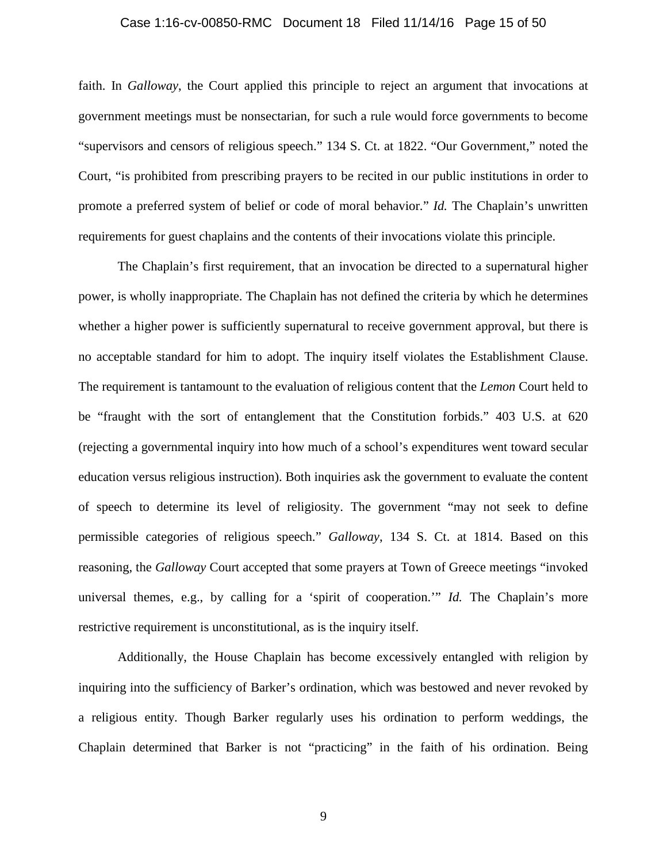#### Case 1:16-cv-00850-RMC Document 18 Filed 11/14/16 Page 15 of 50

faith. In *Galloway*, the Court applied this principle to reject an argument that invocations at government meetings must be nonsectarian, for such a rule would force governments to become "supervisors and censors of religious speech." 134 S. Ct. at 1822. "Our Government," noted the Court, "is prohibited from prescribing prayers to be recited in our public institutions in order to promote a preferred system of belief or code of moral behavior." *Id.* The Chaplain's unwritten requirements for guest chaplains and the contents of their invocations violate this principle.

The Chaplain's first requirement, that an invocation be directed to a supernatural higher power, is wholly inappropriate. The Chaplain has not defined the criteria by which he determines whether a higher power is sufficiently supernatural to receive government approval, but there is no acceptable standard for him to adopt. The inquiry itself violates the Establishment Clause. The requirement is tantamount to the evaluation of religious content that the *Lemon* Court held to be "fraught with the sort of entanglement that the Constitution forbids." 403 U.S. at 620 (rejecting a governmental inquiry into how much of a school's expenditures went toward secular education versus religious instruction). Both inquiries ask the government to evaluate the content of speech to determine its level of religiosity. The government "may not seek to define permissible categories of religious speech." *Galloway*, 134 S. Ct. at 1814. Based on this reasoning, the *Galloway* Court accepted that some prayers at Town of Greece meetings "invoked universal themes, e.g., by calling for a 'spirit of cooperation.'" *Id.* The Chaplain's more restrictive requirement is unconstitutional, as is the inquiry itself.

Additionally, the House Chaplain has become excessively entangled with religion by inquiring into the sufficiency of Barker's ordination, which was bestowed and never revoked by a religious entity. Though Barker regularly uses his ordination to perform weddings, the Chaplain determined that Barker is not "practicing" in the faith of his ordination. Being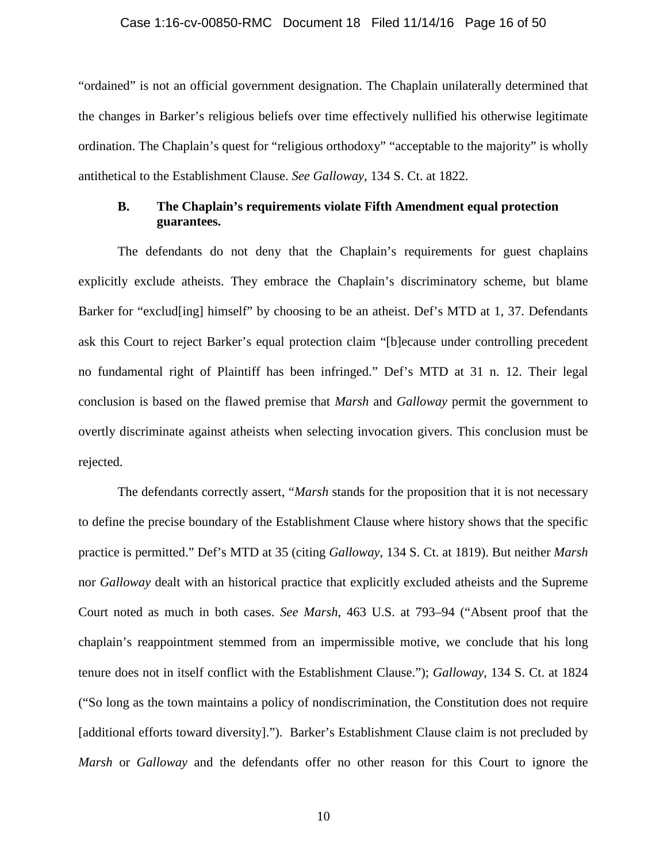#### Case 1:16-cv-00850-RMC Document 18 Filed 11/14/16 Page 16 of 50

"ordained" is not an official government designation. The Chaplain unilaterally determined that the changes in Barker's religious beliefs over time effectively nullified his otherwise legitimate ordination. The Chaplain's quest for "religious orthodoxy" "acceptable to the majority" is wholly antithetical to the Establishment Clause. *See Galloway*, 134 S. Ct. at 1822.

### **B. The Chaplain's requirements violate Fifth Amendment equal protection guarantees.**

The defendants do not deny that the Chaplain's requirements for guest chaplains explicitly exclude atheists. They embrace the Chaplain's discriminatory scheme, but blame Barker for "exclud[ing] himself" by choosing to be an atheist. Def's MTD at 1, 37. Defendants ask this Court to reject Barker's equal protection claim "[b]ecause under controlling precedent no fundamental right of Plaintiff has been infringed." Def's MTD at 31 n. 12. Their legal conclusion is based on the flawed premise that *Marsh* and *Galloway* permit the government to overtly discriminate against atheists when selecting invocation givers. This conclusion must be rejected.

The defendants correctly assert, "*Marsh* stands for the proposition that it is not necessary to define the precise boundary of the Establishment Clause where history shows that the specific practice is permitted." Def's MTD at 35 (citing *Galloway*, 134 S. Ct. at 1819). But neither *Marsh* nor *Galloway* dealt with an historical practice that explicitly excluded atheists and the Supreme Court noted as much in both cases. *See Marsh*, 463 U.S. at 793–94 ("Absent proof that the chaplain's reappointment stemmed from an impermissible motive, we conclude that his long tenure does not in itself conflict with the Establishment Clause."); *Galloway*, 134 S. Ct. at 1824 ("So long as the town maintains a policy of nondiscrimination, the Constitution does not require [additional efforts toward diversity]."). Barker's Establishment Clause claim is not precluded by *Marsh* or *Galloway* and the defendants offer no other reason for this Court to ignore the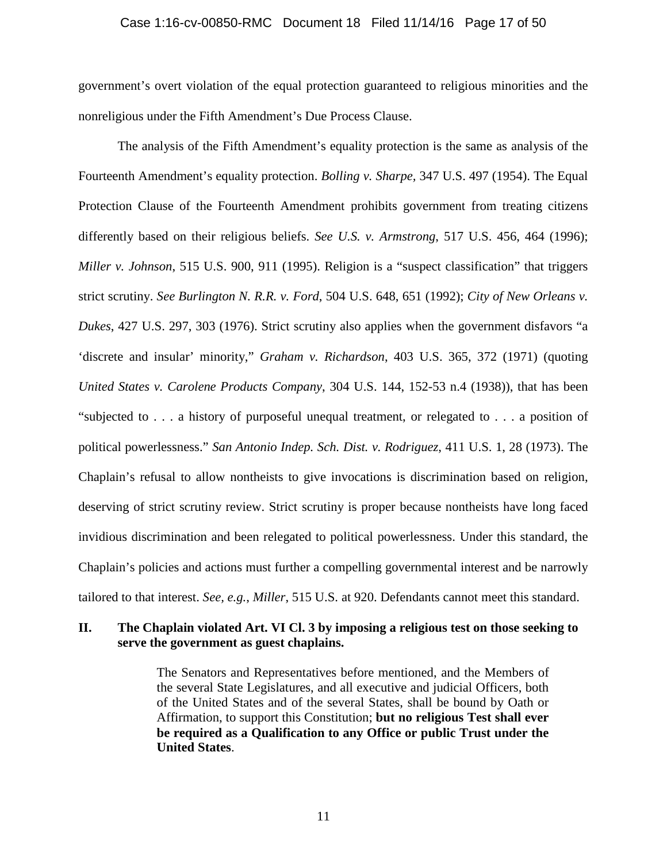#### Case 1:16-cv-00850-RMC Document 18 Filed 11/14/16 Page 17 of 50

government's overt violation of the equal protection guaranteed to religious minorities and the nonreligious under the Fifth Amendment's Due Process Clause.

The analysis of the Fifth Amendment's equality protection is the same as analysis of the Fourteenth Amendment's equality protection. *Bolling v. Sharpe,* 347 U.S. 497 (1954). The Equal Protection Clause of the Fourteenth Amendment prohibits government from treating citizens differently based on their religious beliefs. *See U.S. v. Armstrong*, 517 U.S. 456, 464 (1996); *Miller v. Johnson*, 515 U.S. 900, 911 (1995). Religion is a "suspect classification" that triggers strict scrutiny. *See Burlington N. R.R. v. Ford*, 504 U.S. 648, 651 (1992); *City of New Orleans v. Dukes*, 427 U.S. 297, 303 (1976). Strict scrutiny also applies when the government disfavors "a 'discrete and insular' minority," *Graham v. Richardson*, 403 U.S. 365, 372 (1971) (quoting *United States v. Carolene Products Company*, 304 U.S. 144, 152-53 n.4 (1938)), that has been "subjected to . . . a history of purposeful unequal treatment, or relegated to . . . a position of political powerlessness." *San Antonio Indep. Sch. Dist. v. Rodriguez*, 411 U.S. 1, 28 (1973). The Chaplain's refusal to allow nontheists to give invocations is discrimination based on religion, deserving of strict scrutiny review. Strict scrutiny is proper because nontheists have long faced invidious discrimination and been relegated to political powerlessness. Under this standard, the Chaplain's policies and actions must further a compelling governmental interest and be narrowly tailored to that interest. *See, e.g.*, *Miller*, 515 U.S. at 920. Defendants cannot meet this standard.

## **II. The Chaplain violated Art. VI Cl. 3 by imposing a religious test on those seeking to serve the government as guest chaplains.**

The Senators and Representatives before mentioned, and the Members of the several State Legislatures, and all executive and judicial Officers, both of the United States and of the several States, shall be bound by Oath or Affirmation, to support this Constitution; **but no religious Test shall ever be required as a Qualification to any Office or public Trust under the United States**.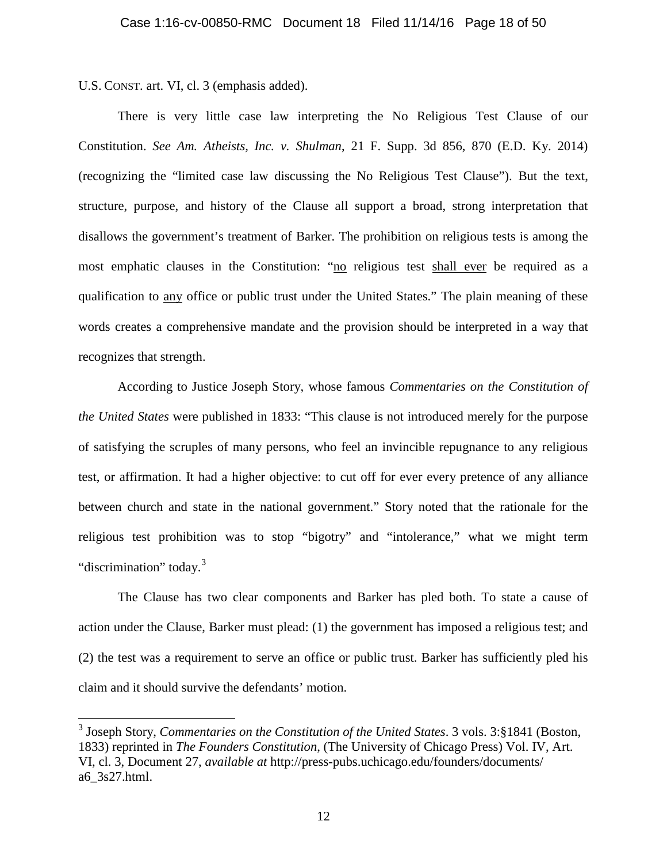U.S. CONST. art. VI, cl. 3 (emphasis added).

 $\overline{a}$ 

There is very little case law interpreting the No Religious Test Clause of our Constitution. *See Am. Atheists, Inc. v. Shulman*, 21 F. Supp. 3d 856, 870 (E.D. Ky. 2014) (recognizing the "limited case law discussing the No Religious Test Clause"). But the text, structure, purpose, and history of the Clause all support a broad, strong interpretation that disallows the government's treatment of Barker. The prohibition on religious tests is among the most emphatic clauses in the Constitution: "no religious test shall ever be required as a qualification to any office or public trust under the United States." The plain meaning of these words creates a comprehensive mandate and the provision should be interpreted in a way that recognizes that strength.

According to Justice Joseph Story, whose famous *Commentaries on the Constitution of the United States* were published in 1833: "This clause is not introduced merely for the purpose of satisfying the scruples of many persons, who feel an invincible repugnance to any religious test, or affirmation. It had a higher objective: to cut off for ever every pretence of any alliance between church and state in the national government." Story noted that the rationale for the religious test prohibition was to stop "bigotry" and "intolerance," what we might term "discrimination" today.<sup>3</sup>

The Clause has two clear components and Barker has pled both. To state a cause of action under the Clause, Barker must plead: (1) the government has imposed a religious test; and (2) the test was a requirement to serve an office or public trust. Barker has sufficiently pled his claim and it should survive the defendants' motion.

<sup>3</sup> Joseph Story, *Commentaries on the Constitution of the United States*. 3 vols. 3:§1841 (Boston, 1833) reprinted in *The Founders Constitution*, (The University of Chicago Press) Vol. IV, Art. VI, cl. 3, Document 27, *available at* http://press-pubs.uchicago.edu/founders/documents/ a6\_3s27.html.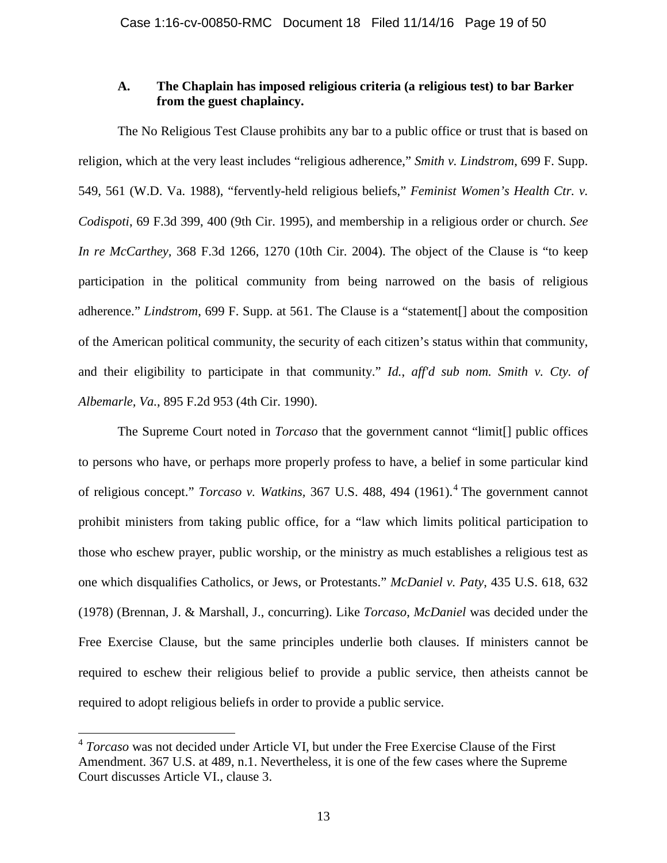### **A. The Chaplain has imposed religious criteria (a religious test) to bar Barker from the guest chaplaincy.**

The No Religious Test Clause prohibits any bar to a public office or trust that is based on religion, which at the very least includes "religious adherence," *Smith v. Lindstrom*, 699 F. Supp. 549, 561 (W.D. Va. 1988), "fervently-held religious beliefs," *Feminist Women's Health Ctr. v. Codispoti*, 69 F.3d 399, 400 (9th Cir. 1995), and membership in a religious order or church. *See In re McCarthey,* 368 F.3d 1266, 1270 (10th Cir. 2004). The object of the Clause is "to keep participation in the political community from being narrowed on the basis of religious adherence." *Lindstrom*, 699 F. Supp. at 561. The Clause is a "statement[] about the composition of the American political community, the security of each citizen's status within that community, and their eligibility to participate in that community." *Id.*, *aff'd sub nom. Smith v. Cty. of Albemarle, Va.*, 895 F.2d 953 (4th Cir. 1990).

The Supreme Court noted in *Torcaso* that the government cannot "limit[] public offices to persons who have, or perhaps more properly profess to have, a belief in some particular kind of religious concept." *Torcaso v. Watkins,* 367 U.S. 488, 494 (1961). <sup>4</sup> The government cannot prohibit ministers from taking public office, for a "law which limits political participation to those who eschew prayer, public worship, or the ministry as much establishes a religious test as one which disqualifies Catholics, or Jews, or Protestants." *McDaniel v. Paty*, 435 U.S. 618, 632 (1978) (Brennan, J. & Marshall, J., concurring). Like *Torcaso*, *McDaniel* was decided under the Free Exercise Clause, but the same principles underlie both clauses. If ministers cannot be required to eschew their religious belief to provide a public service, then atheists cannot be required to adopt religious beliefs in order to provide a public service.

 $\overline{a}$ 

<sup>4</sup> *Torcaso* was not decided under Article VI, but under the Free Exercise Clause of the First Amendment. 367 U.S. at 489, n.1. Nevertheless, it is one of the few cases where the Supreme Court discusses Article VI., clause 3.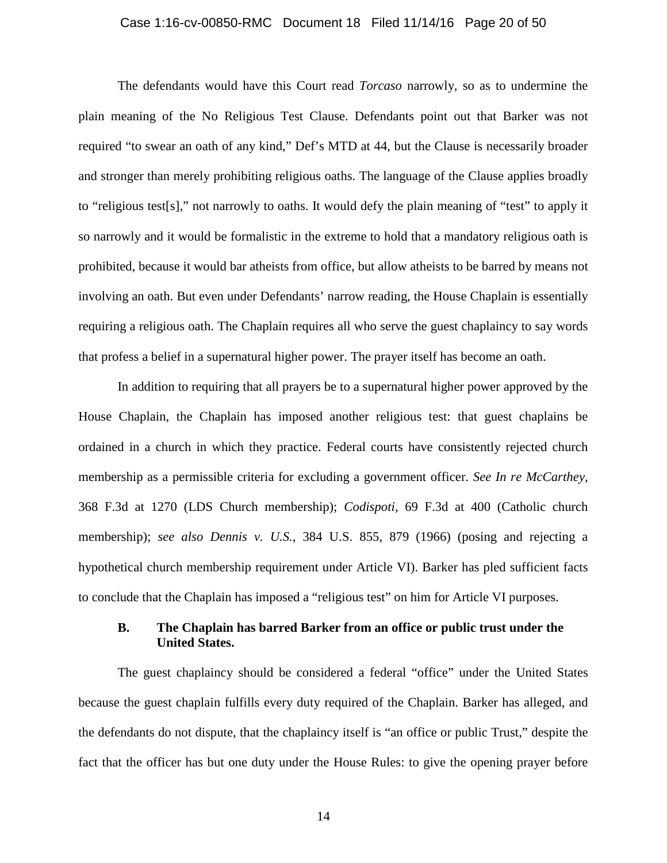#### Case 1:16-cv-00850-RMC Document 18 Filed 11/14/16 Page 20 of 50

The defendants would have this Court read *Torcaso* narrowly, so as to undermine the plain meaning of the No Religious Test Clause. Defendants point out that Barker was not required "to swear an oath of any kind," Def's MTD at 44, but the Clause is necessarily broader and stronger than merely prohibiting religious oaths. The language of the Clause applies broadly to "religious test[s]," not narrowly to oaths. It would defy the plain meaning of "test" to apply it so narrowly and it would be formalistic in the extreme to hold that a mandatory religious oath is prohibited, because it would bar atheists from office, but allow atheists to be barred by means not involving an oath. But even under Defendants' narrow reading, the House Chaplain is essentially requiring a religious oath. The Chaplain requires all who serve the guest chaplaincy to say words that profess a belief in a supernatural higher power. The prayer itself has become an oath.

In addition to requiring that all prayers be to a supernatural higher power approved by the House Chaplain, the Chaplain has imposed another religious test: that guest chaplains be ordained in a church in which they practice. Federal courts have consistently rejected church membership as a permissible criteria for excluding a government officer. *See In re McCarthey,*  368 F.3d at 1270 (LDS Church membership); *Codispoti*, 69 F.3d at 400 (Catholic church membership); *see also Dennis v. U.S.*, 384 U.S. 855, 879 (1966) (posing and rejecting a hypothetical church membership requirement under Article VI). Barker has pled sufficient facts to conclude that the Chaplain has imposed a "religious test" on him for Article VI purposes.

## **B. The Chaplain has barred Barker from an office or public trust under the United States.**

The guest chaplaincy should be considered a federal "office" under the United States because the guest chaplain fulfills every duty required of the Chaplain. Barker has alleged, and the defendants do not dispute, that the chaplaincy itself is "an office or public Trust," despite the fact that the officer has but one duty under the House Rules: to give the opening prayer before

14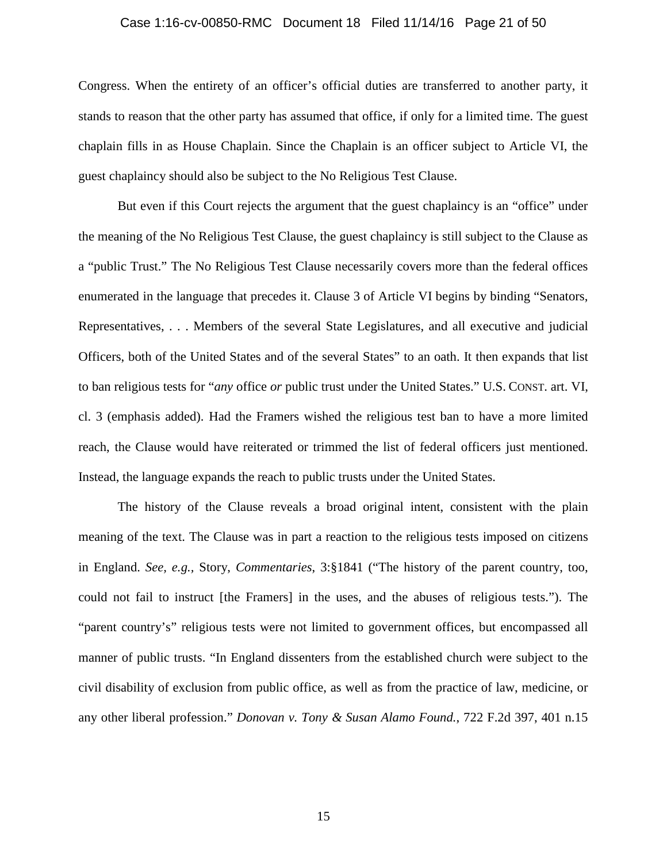#### Case 1:16-cv-00850-RMC Document 18 Filed 11/14/16 Page 21 of 50

Congress. When the entirety of an officer's official duties are transferred to another party, it stands to reason that the other party has assumed that office, if only for a limited time. The guest chaplain fills in as House Chaplain. Since the Chaplain is an officer subject to Article VI, the guest chaplaincy should also be subject to the No Religious Test Clause.

But even if this Court rejects the argument that the guest chaplaincy is an "office" under the meaning of the No Religious Test Clause, the guest chaplaincy is still subject to the Clause as a "public Trust." The No Religious Test Clause necessarily covers more than the federal offices enumerated in the language that precedes it. Clause 3 of Article VI begins by binding "Senators, Representatives, . . . Members of the several State Legislatures, and all executive and judicial Officers, both of the United States and of the several States" to an oath. It then expands that list to ban religious tests for "*any* office *or* public trust under the United States." U.S. CONST. art. VI, cl. 3 (emphasis added). Had the Framers wished the religious test ban to have a more limited reach, the Clause would have reiterated or trimmed the list of federal officers just mentioned. Instead, the language expands the reach to public trusts under the United States.

The history of the Clause reveals a broad original intent, consistent with the plain meaning of the text. The Clause was in part a reaction to the religious tests imposed on citizens in England. *See, e.g.,* Story, *Commentaries*, 3:§1841 ("The history of the parent country, too, could not fail to instruct [the Framers] in the uses, and the abuses of religious tests."). The "parent country's" religious tests were not limited to government offices, but encompassed all manner of public trusts. "In England dissenters from the established church were subject to the civil disability of exclusion from public office, as well as from the practice of law, medicine, or any other liberal profession." *Donovan v. Tony & Susan Alamo Found.*, 722 F.2d 397, 401 n.15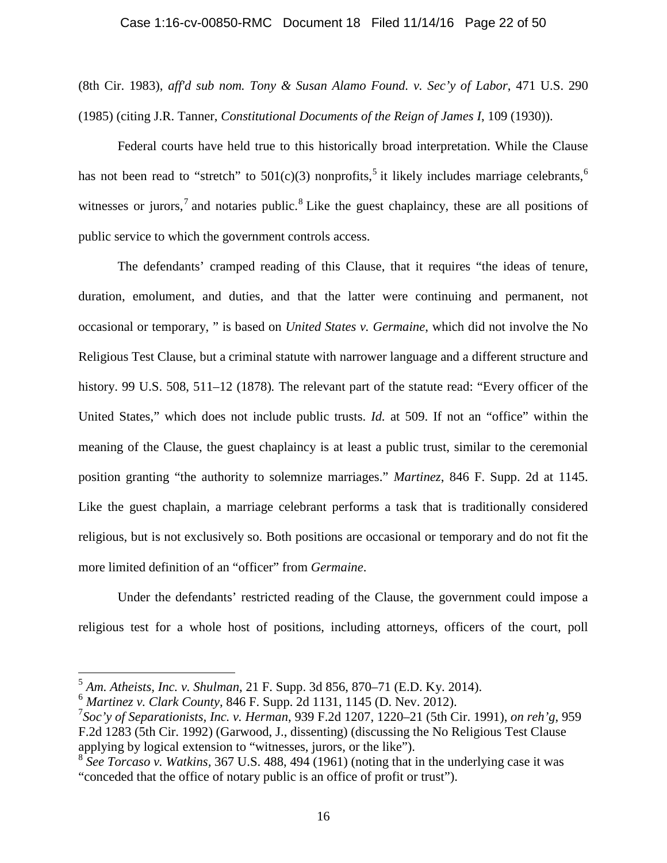## Case 1:16-cv-00850-RMC Document 18 Filed 11/14/16 Page 22 of 50

(8th Cir. 1983), *aff'd sub nom. Tony & Susan Alamo Found. v. Sec'y of Labor*, 471 U.S. 290 (1985) (citing J.R. Tanner, *Constitutional Documents of the Reign of James I*, 109 (1930)).

Federal courts have held true to this historically broad interpretation. While the Clause has not been read to "stretch" to  $501(c)(3)$  nonprofits,<sup>5</sup> it likely includes marriage celebrants,<sup>6</sup> witnesses or jurors,<sup>7</sup> and notaries public.<sup>8</sup> Like the guest chaplaincy, these are all positions of public service to which the government controls access.

The defendants' cramped reading of this Clause, that it requires "the ideas of tenure, duration, emolument, and duties, and that the latter were continuing and permanent, not occasional or temporary, " is based on *United States v. Germaine*, which did not involve the No Religious Test Clause, but a criminal statute with narrower language and a different structure and history. 99 U.S. 508, 511–12 (1878)*.* The relevant part of the statute read: "Every officer of the United States," which does not include public trusts. *Id.* at 509. If not an "office" within the meaning of the Clause, the guest chaplaincy is at least a public trust, similar to the ceremonial position granting "the authority to solemnize marriages." *Martinez*, 846 F. Supp. 2d at 1145. Like the guest chaplain, a marriage celebrant performs a task that is traditionally considered religious, but is not exclusively so. Both positions are occasional or temporary and do not fit the more limited definition of an "officer" from *Germaine*.

Under the defendants' restricted reading of the Clause, the government could impose a religious test for a whole host of positions, including attorneys, officers of the court, poll

 $\overline{a}$ 

<sup>5</sup> *Am. Atheists, Inc. v. Shulman*, 21 F. Supp. 3d 856, 870–71 (E.D. Ky. 2014).

<sup>6</sup> *Martinez v. Clark County,* 846 F. Supp. 2d 1131, 1145 (D. Nev. 2012). <sup>7</sup>

*Soc'y of Separationists, Inc. v. Herman*, 939 F.2d 1207, 1220–21 (5th Cir. 1991), *on reh'g*, 959 F.2d 1283 (5th Cir. 1992) (Garwood, J., dissenting) (discussing the No Religious Test Clause applying by logical extension to "witnesses, jurors, or the like").

<sup>8</sup> *See Torcaso v. Watkins,* 367 U.S. 488, 494 (1961) (noting that in the underlying case it was "conceded that the office of notary public is an office of profit or trust").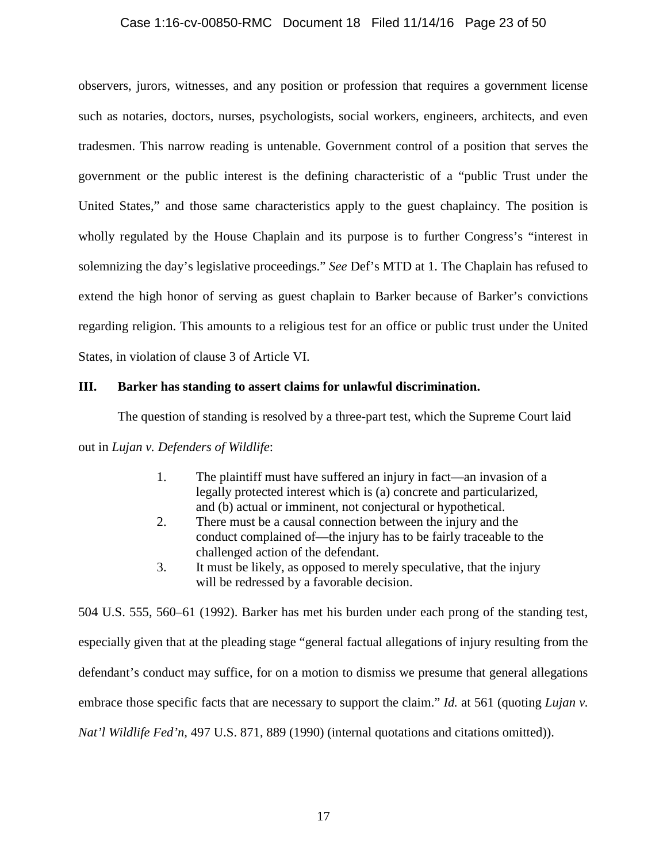#### Case 1:16-cv-00850-RMC Document 18 Filed 11/14/16 Page 23 of 50

observers, jurors, witnesses, and any position or profession that requires a government license such as notaries, doctors, nurses, psychologists, social workers, engineers, architects, and even tradesmen. This narrow reading is untenable. Government control of a position that serves the government or the public interest is the defining characteristic of a "public Trust under the United States," and those same characteristics apply to the guest chaplaincy. The position is wholly regulated by the House Chaplain and its purpose is to further Congress's "interest in solemnizing the day's legislative proceedings." *See* Def's MTD at 1. The Chaplain has refused to extend the high honor of serving as guest chaplain to Barker because of Barker's convictions regarding religion. This amounts to a religious test for an office or public trust under the United States, in violation of clause 3 of Article VI.

### **III. Barker has standing to assert claims for unlawful discrimination.**

The question of standing is resolved by a three-part test, which the Supreme Court laid

out in *Lujan v. Defenders of Wildlife*:

- 1. The plaintiff must have suffered an injury in fact—an invasion of a legally protected interest which is (a) concrete and particularized, and (b) actual or imminent, not conjectural or hypothetical.
- 2. There must be a causal connection between the injury and the conduct complained of—the injury has to be fairly traceable to the challenged action of the defendant.
- 3. It must be likely, as opposed to merely speculative, that the injury will be redressed by a favorable decision.

504 U.S. 555, 560–61 (1992). Barker has met his burden under each prong of the standing test, especially given that at the pleading stage "general factual allegations of injury resulting from the defendant's conduct may suffice, for on a motion to dismiss we presume that general allegations embrace those specific facts that are necessary to support the claim." *Id.* at 561 (quoting *Lujan v. Nat'l Wildlife Fed'n,* 497 U.S. 871, 889 (1990) (internal quotations and citations omitted)).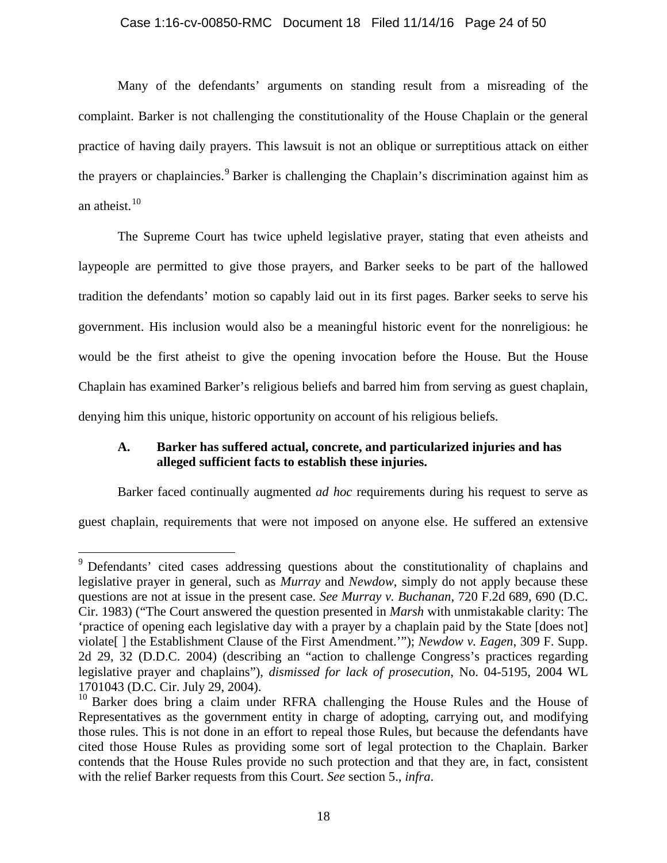#### Case 1:16-cv-00850-RMC Document 18 Filed 11/14/16 Page 24 of 50

Many of the defendants' arguments on standing result from a misreading of the complaint. Barker is not challenging the constitutionality of the House Chaplain or the general practice of having daily prayers. This lawsuit is not an oblique or surreptitious attack on either the prayers or chaplaincies.<sup>9</sup> Barker is challenging the Chaplain's discrimination against him as an atheist. $10$ 

The Supreme Court has twice upheld legislative prayer, stating that even atheists and laypeople are permitted to give those prayers, and Barker seeks to be part of the hallowed tradition the defendants' motion so capably laid out in its first pages. Barker seeks to serve his government. His inclusion would also be a meaningful historic event for the nonreligious: he would be the first atheist to give the opening invocation before the House. But the House Chaplain has examined Barker's religious beliefs and barred him from serving as guest chaplain, denying him this unique, historic opportunity on account of his religious beliefs.

## **A. Barker has suffered actual, concrete, and particularized injuries and has alleged sufficient facts to establish these injuries.**

Barker faced continually augmented *ad hoc* requirements during his request to serve as

guest chaplain, requirements that were not imposed on anyone else. He suffered an extensive

<sup>&</sup>lt;sup>9</sup> Defendants' cited cases addressing questions about the constitutionality of chaplains and legislative prayer in general, such as *Murray* and *Newdow*, simply do not apply because these questions are not at issue in the present case. *See Murray v. Buchanan*, 720 F.2d 689, 690 (D.C. Cir. 1983) ("The Court answered the question presented in *Marsh* with unmistakable clarity: The 'practice of opening each legislative day with a prayer by a chaplain paid by the State [does not] violate[ ] the Establishment Clause of the First Amendment.'"); *Newdow v. Eagen*, 309 F. Supp. 2d 29, 32 (D.D.C. 2004) (describing an "action to challenge Congress's practices regarding legislative prayer and chaplains"), *dismissed for lack of prosecution*, No. 04-5195, 2004 WL 1701043 (D.C. Cir. July 29, 2004).  $\overline{a}$ 

 $10$  Barker does bring a claim under RFRA challenging the House Rules and the House of Representatives as the government entity in charge of adopting, carrying out, and modifying those rules. This is not done in an effort to repeal those Rules, but because the defendants have cited those House Rules as providing some sort of legal protection to the Chaplain. Barker contends that the House Rules provide no such protection and that they are, in fact, consistent with the relief Barker requests from this Court. *See* section 5., *infra*.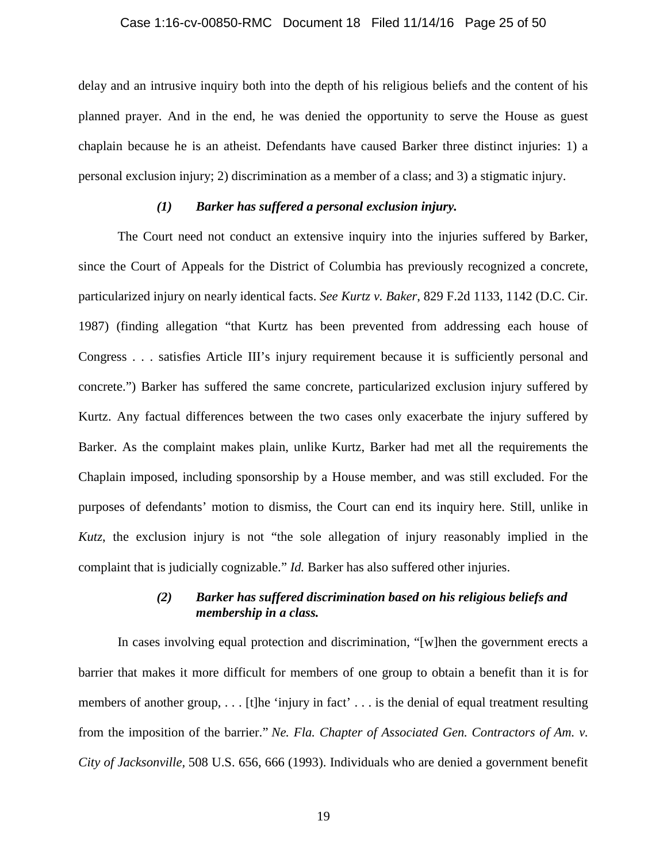#### Case 1:16-cv-00850-RMC Document 18 Filed 11/14/16 Page 25 of 50

delay and an intrusive inquiry both into the depth of his religious beliefs and the content of his planned prayer. And in the end, he was denied the opportunity to serve the House as guest chaplain because he is an atheist. Defendants have caused Barker three distinct injuries: 1) a personal exclusion injury; 2) discrimination as a member of a class; and 3) a stigmatic injury.

## *(1) Barker has suffered a personal exclusion injury.*

The Court need not conduct an extensive inquiry into the injuries suffered by Barker, since the Court of Appeals for the District of Columbia has previously recognized a concrete, particularized injury on nearly identical facts. *See Kurtz v. Baker*, 829 F.2d 1133, 1142 (D.C. Cir. 1987) (finding allegation "that Kurtz has been prevented from addressing each house of Congress . . . satisfies Article III's injury requirement because it is sufficiently personal and concrete.") Barker has suffered the same concrete, particularized exclusion injury suffered by Kurtz. Any factual differences between the two cases only exacerbate the injury suffered by Barker. As the complaint makes plain, unlike Kurtz, Barker had met all the requirements the Chaplain imposed, including sponsorship by a House member, and was still excluded. For the purposes of defendants' motion to dismiss, the Court can end its inquiry here. Still, unlike in *Kutz*, the exclusion injury is not "the sole allegation of injury reasonably implied in the complaint that is judicially cognizable." *Id.* Barker has also suffered other injuries.

## *(2) Barker has suffered discrimination based on his religious beliefs and membership in a class.*

In cases involving equal protection and discrimination, "[w]hen the government erects a barrier that makes it more difficult for members of one group to obtain a benefit than it is for members of another group,  $\ldots$  [t]he 'injury in fact'  $\ldots$  is the denial of equal treatment resulting from the imposition of the barrier." *Ne. Fla. Chapter of Associated Gen. Contractors of Am. v. City of Jacksonville,* 508 U.S. 656, 666 (1993). Individuals who are denied a government benefit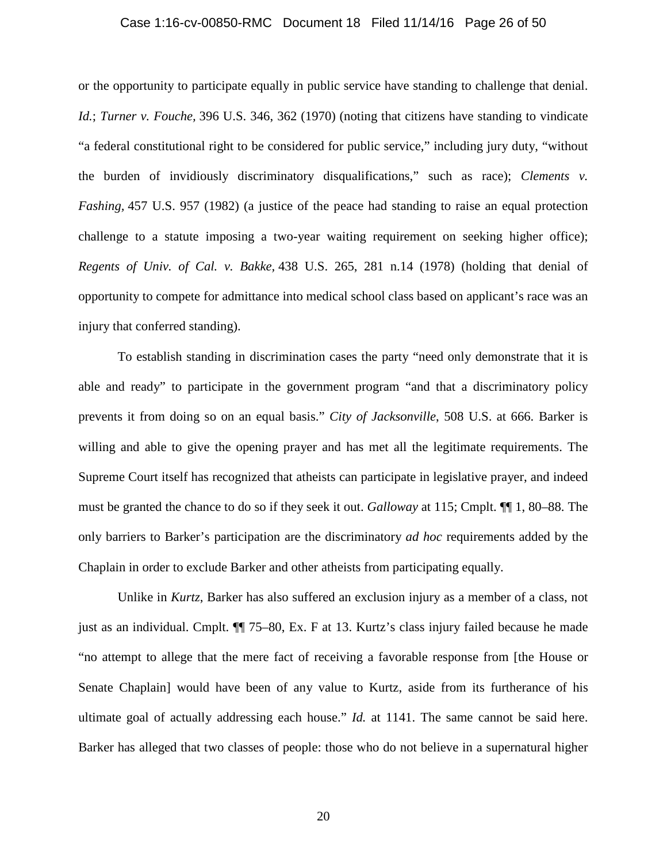#### Case 1:16-cv-00850-RMC Document 18 Filed 11/14/16 Page 26 of 50

or the opportunity to participate equally in public service have standing to challenge that denial. *Id.*; *Turner v. Fouche,* 396 U.S. 346, 362 (1970) (noting that citizens have standing to vindicate "a federal constitutional right to be considered for public service," including jury duty, "without the burden of invidiously discriminatory disqualifications," such as race); *Clements v. Fashing,* 457 U.S. 957 (1982) (a justice of the peace had standing to raise an equal protection challenge to a statute imposing a two-year waiting requirement on seeking higher office); *Regents of Univ. of Cal. v. Bakke,* 438 U.S. 265, 281 n.14 (1978) (holding that denial of opportunity to compete for admittance into medical school class based on applicant's race was an injury that conferred standing).

To establish standing in discrimination cases the party "need only demonstrate that it is able and ready" to participate in the government program "and that a discriminatory policy prevents it from doing so on an equal basis." *City of Jacksonville*, 508 U.S. at 666. Barker is willing and able to give the opening prayer and has met all the legitimate requirements. The Supreme Court itself has recognized that atheists can participate in legislative prayer, and indeed must be granted the chance to do so if they seek it out. *Galloway* at 115; Cmplt. ¶¶ 1, 80–88. The only barriers to Barker's participation are the discriminatory *ad hoc* requirements added by the Chaplain in order to exclude Barker and other atheists from participating equally.

Unlike in *Kurtz*, Barker has also suffered an exclusion injury as a member of a class, not just as an individual. Cmplt. ¶¶ 75–80, Ex. F at 13. Kurtz's class injury failed because he made "no attempt to allege that the mere fact of receiving a favorable response from [the House or Senate Chaplain] would have been of any value to Kurtz, aside from its furtherance of his ultimate goal of actually addressing each house." *Id.* at 1141. The same cannot be said here. Barker has alleged that two classes of people: those who do not believe in a supernatural higher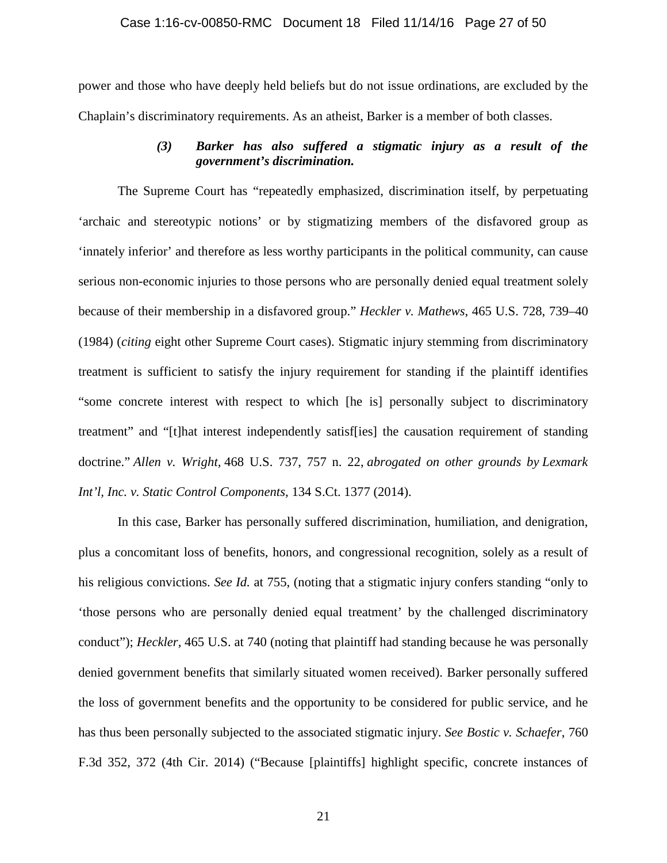#### Case 1:16-cv-00850-RMC Document 18 Filed 11/14/16 Page 27 of 50

power and those who have deeply held beliefs but do not issue ordinations, are excluded by the Chaplain's discriminatory requirements. As an atheist, Barker is a member of both classes.

## *(3) Barker has also suffered a stigmatic injury as a result of the government's discrimination.*

The Supreme Court has "repeatedly emphasized, discrimination itself, by perpetuating 'archaic and stereotypic notions' or by stigmatizing members of the disfavored group as 'innately inferior' and therefore as less worthy participants in the political community, can cause serious non-economic injuries to those persons who are personally denied equal treatment solely because of their membership in a disfavored group." *Heckler v. Mathews*, 465 U.S. 728, 739–40 (1984) (*citing* eight other Supreme Court cases). Stigmatic injury stemming from discriminatory treatment is sufficient to satisfy the injury requirement for standing if the plaintiff identifies "some concrete interest with respect to which [he is] personally subject to discriminatory treatment" and "[t]hat interest independently satisf[ies] the causation requirement of standing doctrine." *Allen v. Wright,* 468 U.S. 737, 757 n. 22, *abrogated on other grounds by Lexmark Int'l, Inc. v. Static Control Components,* 134 S.Ct. 1377 (2014).

In this case, Barker has personally suffered discrimination, humiliation, and denigration, plus a concomitant loss of benefits, honors, and congressional recognition, solely as a result of his religious convictions. *See Id.* at 755, (noting that a stigmatic injury confers standing "only to 'those persons who are personally denied equal treatment' by the challenged discriminatory conduct"); *Heckler,* 465 U.S. at 740 (noting that plaintiff had standing because he was personally denied government benefits that similarly situated women received). Barker personally suffered the loss of government benefits and the opportunity to be considered for public service, and he has thus been personally subjected to the associated stigmatic injury. *See Bostic v. Schaefer*, 760 F.3d 352, 372 (4th Cir. 2014) ("Because [plaintiffs] highlight specific, concrete instances of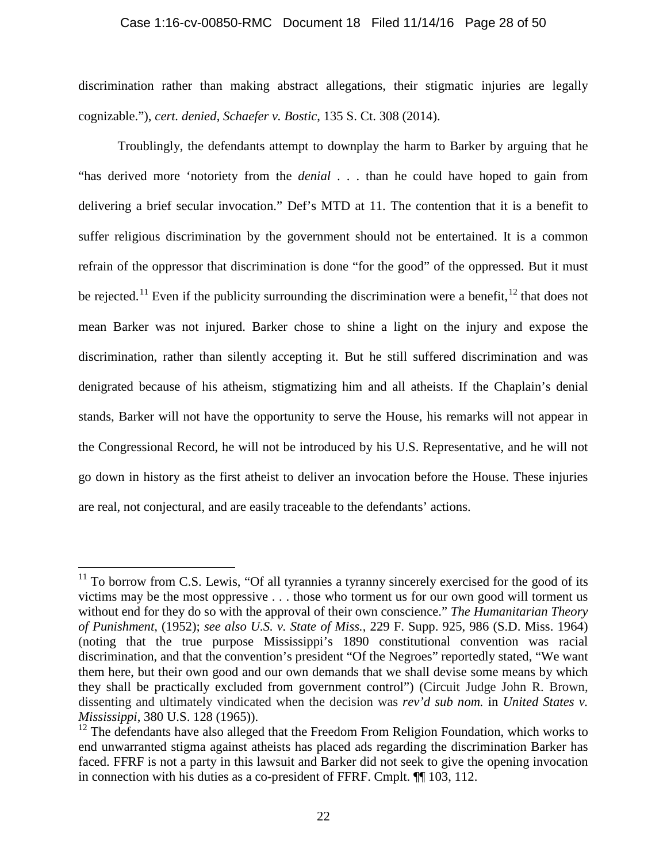### Case 1:16-cv-00850-RMC Document 18 Filed 11/14/16 Page 28 of 50

discrimination rather than making abstract allegations, their stigmatic injuries are legally cognizable."), *cert. denied*, *Schaefer v. Bostic*, 135 S. Ct. 308 (2014).

Troublingly, the defendants attempt to downplay the harm to Barker by arguing that he "has derived more 'notoriety from the *denial* . . . than he could have hoped to gain from delivering a brief secular invocation." Def's MTD at 11. The contention that it is a benefit to suffer religious discrimination by the government should not be entertained. It is a common refrain of the oppressor that discrimination is done "for the good" of the oppressed. But it must be rejected.<sup>11</sup> Even if the publicity surrounding the discrimination were a benefit,  $12$  that does not mean Barker was not injured. Barker chose to shine a light on the injury and expose the discrimination, rather than silently accepting it. But he still suffered discrimination and was denigrated because of his atheism, stigmatizing him and all atheists. If the Chaplain's denial stands, Barker will not have the opportunity to serve the House, his remarks will not appear in the Congressional Record, he will not be introduced by his U.S. Representative, and he will not go down in history as the first atheist to deliver an invocation before the House. These injuries are real, not conjectural, and are easily traceable to the defendants' actions.

 $\overline{a}$ 

 $11$  To borrow from C.S. Lewis, "Of all tyrannies a tyranny sincerely exercised for the good of its victims may be the most oppressive . . . those who torment us for our own good will torment us without end for they do so with the approval of their own conscience." *The Humanitarian Theory of Punishment*, (1952); *see also U.S. v. State of Miss.*, 229 F. Supp. 925, 986 (S.D. Miss. 1964) (noting that the true purpose Mississippi's 1890 constitutional convention was racial discrimination, and that the convention's president "Of the Negroes" reportedly stated, "We want them here, but their own good and our own demands that we shall devise some means by which they shall be practically excluded from government control") (Circuit Judge John R. Brown, dissenting and ultimately vindicated when the decision was *rev'd sub nom.* in *United States v. Mississippi*, 380 U.S. 128 (1965)).

 $12$  The defendants have also alleged that the Freedom From Religion Foundation, which works to end unwarranted stigma against atheists has placed ads regarding the discrimination Barker has faced. FFRF is not a party in this lawsuit and Barker did not seek to give the opening invocation in connection with his duties as a co-president of FFRF. Cmplt. ¶¶ 103, 112.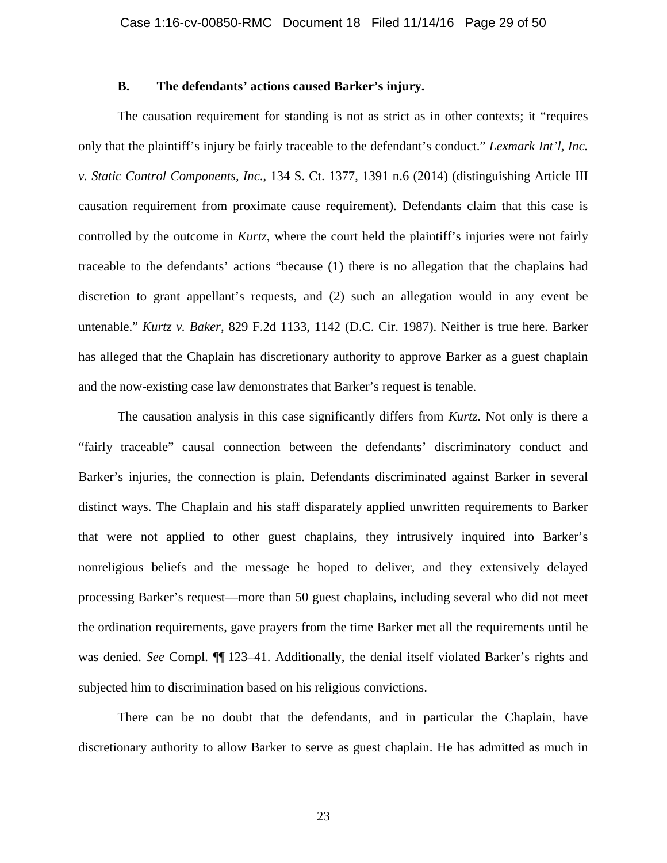### **B. The defendants' actions caused Barker's injury.**

The causation requirement for standing is not as strict as in other contexts; it "requires only that the plaintiff's injury be fairly traceable to the defendant's conduct." *Lexmark Int'l, Inc. v. Static Control Components, Inc*., 134 S. Ct. 1377, 1391 n.6 (2014) (distinguishing Article III causation requirement from proximate cause requirement). Defendants claim that this case is controlled by the outcome in *Kurtz*, where the court held the plaintiff's injuries were not fairly traceable to the defendants' actions "because (1) there is no allegation that the chaplains had discretion to grant appellant's requests, and (2) such an allegation would in any event be untenable." *Kurtz v. Baker*, 829 F.2d 1133, 1142 (D.C. Cir. 1987). Neither is true here. Barker has alleged that the Chaplain has discretionary authority to approve Barker as a guest chaplain and the now-existing case law demonstrates that Barker's request is tenable.

The causation analysis in this case significantly differs from *Kurtz*. Not only is there a "fairly traceable" causal connection between the defendants' discriminatory conduct and Barker's injuries, the connection is plain. Defendants discriminated against Barker in several distinct ways. The Chaplain and his staff disparately applied unwritten requirements to Barker that were not applied to other guest chaplains, they intrusively inquired into Barker's nonreligious beliefs and the message he hoped to deliver, and they extensively delayed processing Barker's request—more than 50 guest chaplains, including several who did not meet the ordination requirements, gave prayers from the time Barker met all the requirements until he was denied. *See* Compl. ¶¶ 123–41. Additionally, the denial itself violated Barker's rights and subjected him to discrimination based on his religious convictions.

There can be no doubt that the defendants, and in particular the Chaplain, have discretionary authority to allow Barker to serve as guest chaplain. He has admitted as much in

23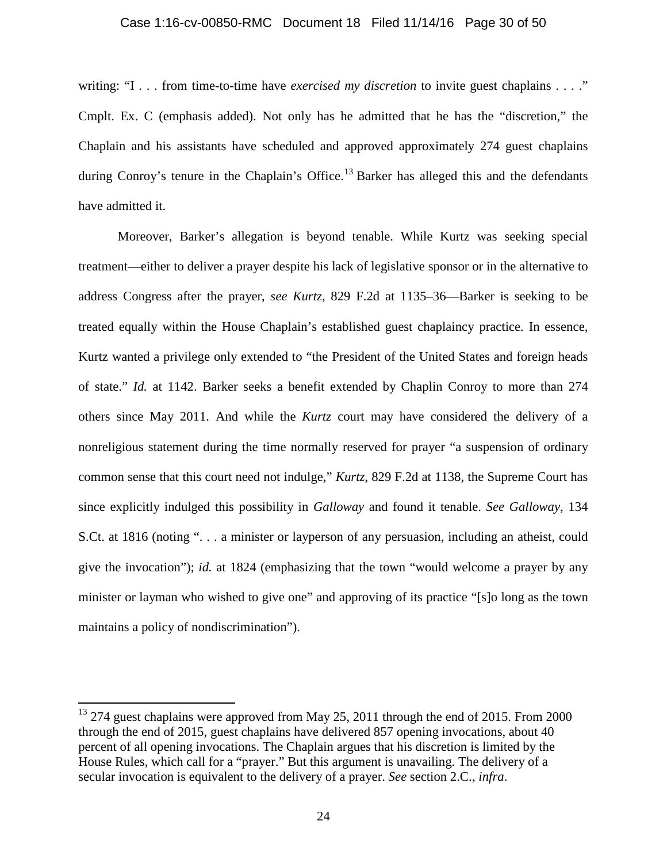#### Case 1:16-cv-00850-RMC Document 18 Filed 11/14/16 Page 30 of 50

writing: "I . . . from time-to-time have *exercised my discretion* to invite guest chaplains . . . ." Cmplt. Ex. C (emphasis added). Not only has he admitted that he has the "discretion," the Chaplain and his assistants have scheduled and approved approximately 274 guest chaplains during Conroy's tenure in the Chaplain's Office.<sup>13</sup> Barker has alleged this and the defendants have admitted it.

Moreover, Barker's allegation is beyond tenable. While Kurtz was seeking special treatment—either to deliver a prayer despite his lack of legislative sponsor or in the alternative to address Congress after the prayer, *see Kurtz*, 829 F.2d at 1135–36—Barker is seeking to be treated equally within the House Chaplain's established guest chaplaincy practice. In essence, Kurtz wanted a privilege only extended to "the President of the United States and foreign heads of state." *Id.* at 1142. Barker seeks a benefit extended by Chaplin Conroy to more than 274 others since May 2011. And while the *Kurtz* court may have considered the delivery of a nonreligious statement during the time normally reserved for prayer "a suspension of ordinary common sense that this court need not indulge," *Kurtz*, 829 F.2d at 1138, the Supreme Court has since explicitly indulged this possibility in *Galloway* and found it tenable. *See Galloway*, 134 S.Ct. at 1816 (noting ". . . a minister or layperson of any persuasion, including an atheist, could give the invocation"); *id.* at 1824 (emphasizing that the town "would welcome a prayer by any minister or layman who wished to give one" and approving of its practice "[s]o long as the town maintains a policy of nondiscrimination").

 $\overline{a}$ 

 $13$  274 guest chaplains were approved from May 25, 2011 through the end of 2015. From 2000 through the end of 2015, guest chaplains have delivered 857 opening invocations, about 40 percent of all opening invocations. The Chaplain argues that his discretion is limited by the House Rules, which call for a "prayer." But this argument is unavailing. The delivery of a secular invocation is equivalent to the delivery of a prayer. *See* section 2.C., *infra*.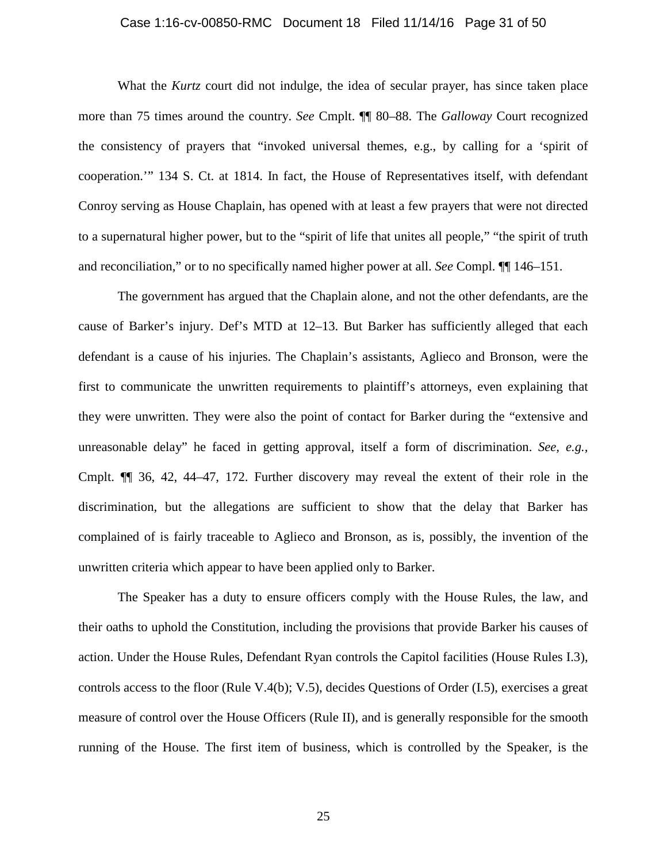#### Case 1:16-cv-00850-RMC Document 18 Filed 11/14/16 Page 31 of 50

What the *Kurtz* court did not indulge, the idea of secular prayer, has since taken place more than 75 times around the country. *See* Cmplt. ¶¶ 80–88. The *Galloway* Court recognized the consistency of prayers that "invoked universal themes, e.g., by calling for a 'spirit of cooperation.'" 134 S. Ct. at 1814. In fact, the House of Representatives itself, with defendant Conroy serving as House Chaplain, has opened with at least a few prayers that were not directed to a supernatural higher power, but to the "spirit of life that unites all people," "the spirit of truth and reconciliation," or to no specifically named higher power at all. *See* Compl. ¶¶ 146–151.

The government has argued that the Chaplain alone, and not the other defendants, are the cause of Barker's injury. Def's MTD at 12–13. But Barker has sufficiently alleged that each defendant is a cause of his injuries. The Chaplain's assistants, Aglieco and Bronson, were the first to communicate the unwritten requirements to plaintiff's attorneys, even explaining that they were unwritten. They were also the point of contact for Barker during the "extensive and unreasonable delay" he faced in getting approval, itself a form of discrimination. *See, e.g.,*  Cmplt. ¶¶ 36, 42, 44–47, 172. Further discovery may reveal the extent of their role in the discrimination, but the allegations are sufficient to show that the delay that Barker has complained of is fairly traceable to Aglieco and Bronson, as is, possibly, the invention of the unwritten criteria which appear to have been applied only to Barker.

The Speaker has a duty to ensure officers comply with the House Rules, the law, and their oaths to uphold the Constitution, including the provisions that provide Barker his causes of action. Under the House Rules, Defendant Ryan controls the Capitol facilities (House Rules I.3), controls access to the floor (Rule V.4(b); V.5), decides Questions of Order (I.5), exercises a great measure of control over the House Officers (Rule II), and is generally responsible for the smooth running of the House. The first item of business, which is controlled by the Speaker, is the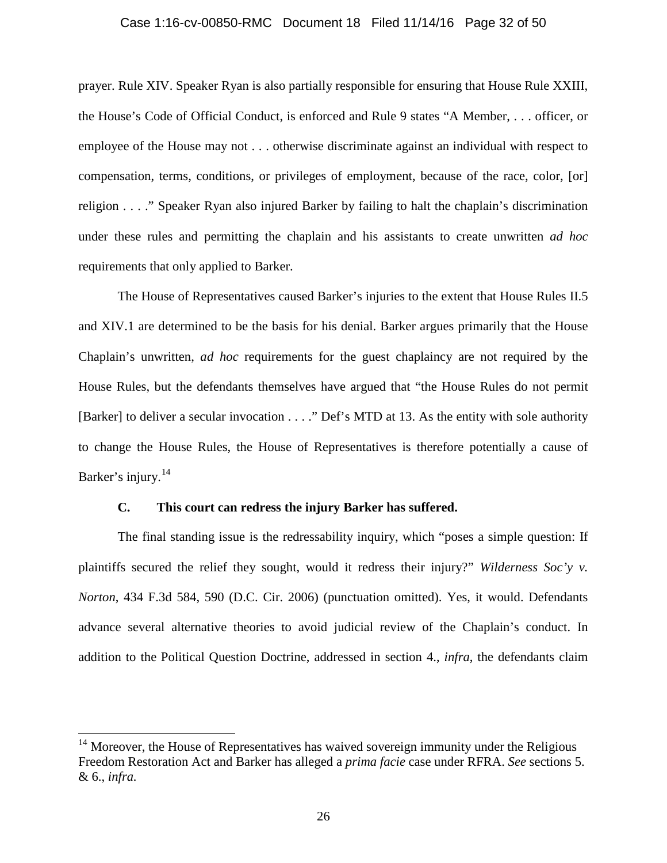#### Case 1:16-cv-00850-RMC Document 18 Filed 11/14/16 Page 32 of 50

prayer. Rule XIV. Speaker Ryan is also partially responsible for ensuring that House Rule XXIII, the House's Code of Official Conduct, is enforced and Rule 9 states "A Member, . . . officer, or employee of the House may not . . . otherwise discriminate against an individual with respect to compensation, terms, conditions, or privileges of employment, because of the race, color, [or] religion . . . ." Speaker Ryan also injured Barker by failing to halt the chaplain's discrimination under these rules and permitting the chaplain and his assistants to create unwritten *ad hoc* requirements that only applied to Barker.

The House of Representatives caused Barker's injuries to the extent that House Rules II.5 and XIV.1 are determined to be the basis for his denial. Barker argues primarily that the House Chaplain's unwritten, *ad hoc* requirements for the guest chaplaincy are not required by the House Rules, but the defendants themselves have argued that "the House Rules do not permit [Barker] to deliver a secular invocation . . . ." Def's MTD at 13. As the entity with sole authority to change the House Rules, the House of Representatives is therefore potentially a cause of Barker's injury.<sup>14</sup>

### **C. This court can redress the injury Barker has suffered.**

 $\overline{a}$ 

The final standing issue is the redressability inquiry, which "poses a simple question: If plaintiffs secured the relief they sought, would it redress their injury?" *Wilderness Soc'y v. Norton*, 434 F.3d 584, 590 (D.C. Cir. 2006) (punctuation omitted). Yes, it would. Defendants advance several alternative theories to avoid judicial review of the Chaplain's conduct. In addition to the Political Question Doctrine, addressed in section 4., *infra*, the defendants claim

 $14$  Moreover, the House of Representatives has waived sovereign immunity under the Religious Freedom Restoration Act and Barker has alleged a *prima facie* case under RFRA. *See* sections 5. & 6., *infra.*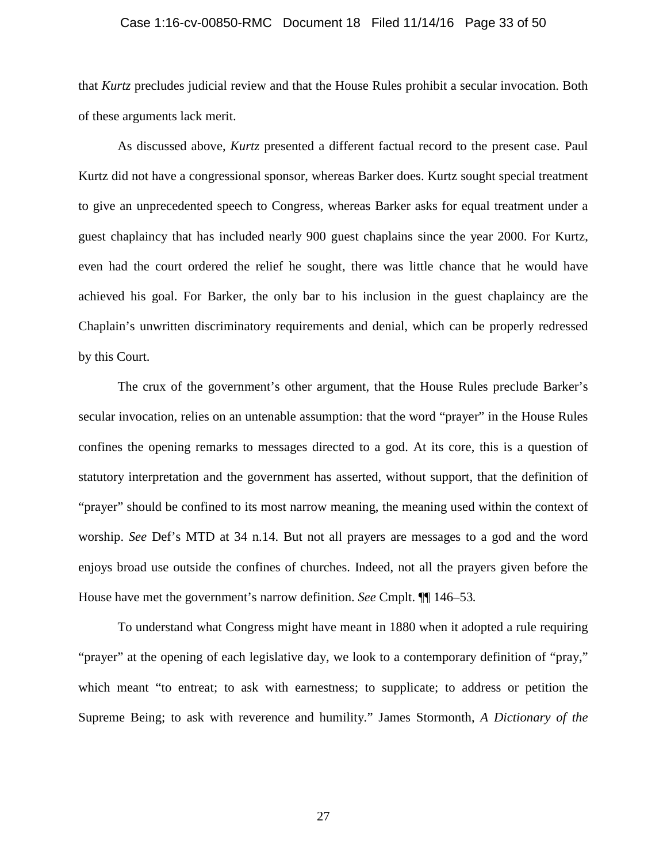#### Case 1:16-cv-00850-RMC Document 18 Filed 11/14/16 Page 33 of 50

that *Kurtz* precludes judicial review and that the House Rules prohibit a secular invocation. Both of these arguments lack merit.

As discussed above, *Kurtz* presented a different factual record to the present case. Paul Kurtz did not have a congressional sponsor, whereas Barker does. Kurtz sought special treatment to give an unprecedented speech to Congress, whereas Barker asks for equal treatment under a guest chaplaincy that has included nearly 900 guest chaplains since the year 2000. For Kurtz, even had the court ordered the relief he sought, there was little chance that he would have achieved his goal. For Barker, the only bar to his inclusion in the guest chaplaincy are the Chaplain's unwritten discriminatory requirements and denial, which can be properly redressed by this Court.

The crux of the government's other argument, that the House Rules preclude Barker's secular invocation, relies on an untenable assumption: that the word "prayer" in the House Rules confines the opening remarks to messages directed to a god. At its core, this is a question of statutory interpretation and the government has asserted, without support, that the definition of "prayer" should be confined to its most narrow meaning, the meaning used within the context of worship. *See* Def's MTD at 34 n.14. But not all prayers are messages to a god and the word enjoys broad use outside the confines of churches. Indeed, not all the prayers given before the House have met the government's narrow definition. *See* Cmplt. ¶¶ 146–53*.*

To understand what Congress might have meant in 1880 when it adopted a rule requiring "prayer" at the opening of each legislative day, we look to a contemporary definition of "pray," which meant "to entreat; to ask with earnestness; to supplicate; to address or petition the Supreme Being; to ask with reverence and humility." James Stormonth, *A Dictionary of the* 

27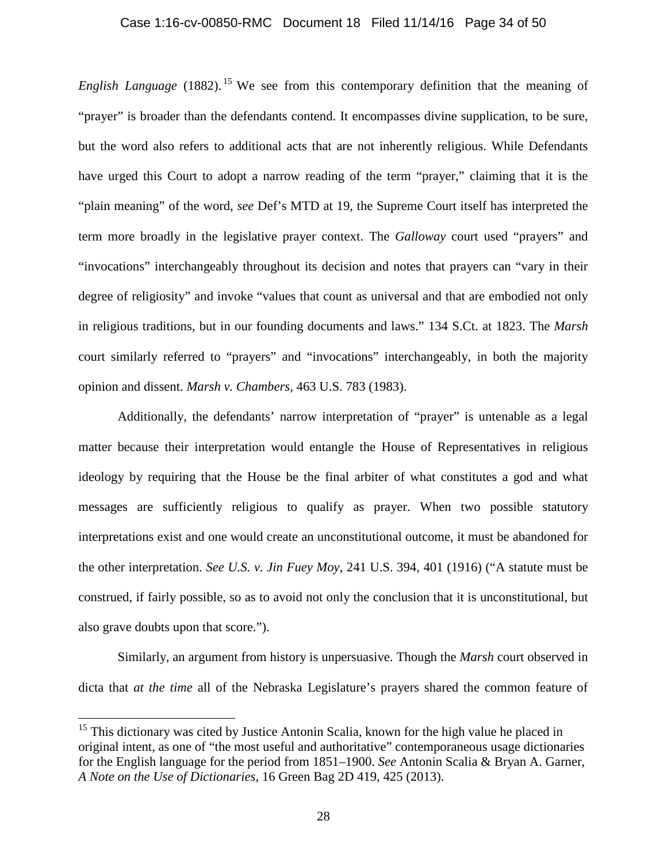#### Case 1:16-cv-00850-RMC Document 18 Filed 11/14/16 Page 34 of 50

*English Language* (1882). <sup>15</sup> We see from this contemporary definition that the meaning of "prayer" is broader than the defendants contend. It encompasses divine supplication, to be sure, but the word also refers to additional acts that are not inherently religious. While Defendants have urged this Court to adopt a narrow reading of the term "prayer," claiming that it is the "plain meaning" of the word, *see* Def's MTD at 19, the Supreme Court itself has interpreted the term more broadly in the legislative prayer context. The *Galloway* court used "prayers" and "invocations" interchangeably throughout its decision and notes that prayers can "vary in their degree of religiosity" and invoke "values that count as universal and that are embodied not only in religious traditions, but in our founding documents and laws." 134 S.Ct. at 1823. The *Marsh* court similarly referred to "prayers" and "invocations" interchangeably, in both the majority opinion and dissent. *Marsh v. Chambers*, 463 U.S. 783 (1983).

Additionally, the defendants' narrow interpretation of "prayer" is untenable as a legal matter because their interpretation would entangle the House of Representatives in religious ideology by requiring that the House be the final arbiter of what constitutes a god and what messages are sufficiently religious to qualify as prayer. When two possible statutory interpretations exist and one would create an unconstitutional outcome, it must be abandoned for the other interpretation. *See U.S. v. Jin Fuey Moy*, 241 U.S. 394, 401 (1916) ("A statute must be construed, if fairly possible, so as to avoid not only the conclusion that it is unconstitutional, but also grave doubts upon that score.").

Similarly, an argument from history is unpersuasive. Though the *Marsh* court observed in dicta that *at the time* all of the Nebraska Legislature's prayers shared the common feature of

 $\overline{a}$ 

 $15$  This dictionary was cited by Justice Antonin Scalia, known for the high value he placed in original intent, as one of "the most useful and authoritative" contemporaneous usage dictionaries for the English language for the period from 1851–1900. *See* Antonin Scalia & Bryan A. Garner, *A Note on the Use of Dictionaries*, 16 Green Bag 2D 419, 425 (2013).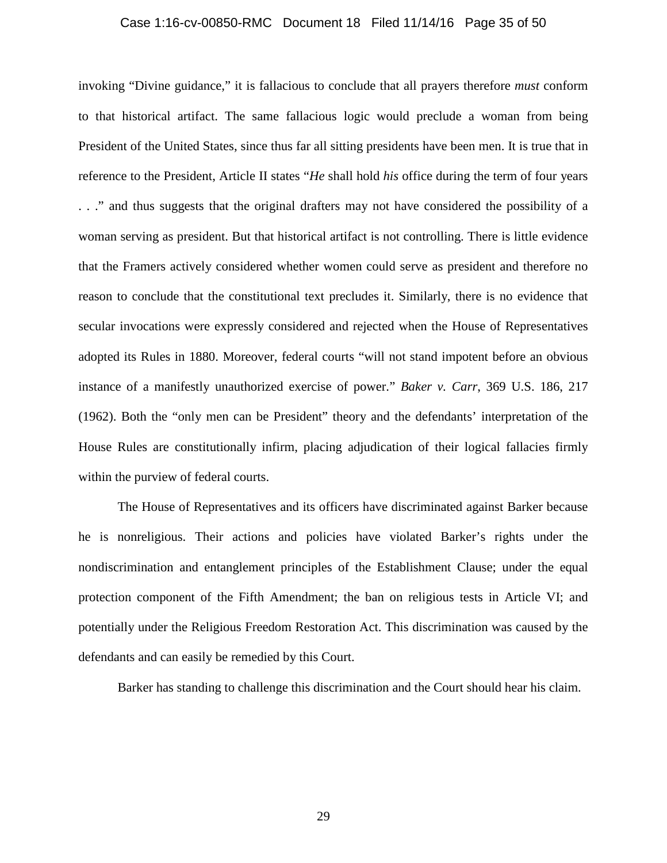#### Case 1:16-cv-00850-RMC Document 18 Filed 11/14/16 Page 35 of 50

invoking "Divine guidance," it is fallacious to conclude that all prayers therefore *must* conform to that historical artifact. The same fallacious logic would preclude a woman from being President of the United States, since thus far all sitting presidents have been men. It is true that in reference to the President, Article II states "*He* shall hold *his* office during the term of four years . . ." and thus suggests that the original drafters may not have considered the possibility of a woman serving as president. But that historical artifact is not controlling. There is little evidence that the Framers actively considered whether women could serve as president and therefore no reason to conclude that the constitutional text precludes it. Similarly, there is no evidence that secular invocations were expressly considered and rejected when the House of Representatives adopted its Rules in 1880. Moreover, federal courts "will not stand impotent before an obvious instance of a manifestly unauthorized exercise of power." *Baker v. Carr*, 369 U.S. 186, 217 (1962). Both the "only men can be President" theory and the defendants' interpretation of the House Rules are constitutionally infirm, placing adjudication of their logical fallacies firmly within the purview of federal courts.

The House of Representatives and its officers have discriminated against Barker because he is nonreligious. Their actions and policies have violated Barker's rights under the nondiscrimination and entanglement principles of the Establishment Clause; under the equal protection component of the Fifth Amendment; the ban on religious tests in Article VI; and potentially under the Religious Freedom Restoration Act. This discrimination was caused by the defendants and can easily be remedied by this Court.

Barker has standing to challenge this discrimination and the Court should hear his claim.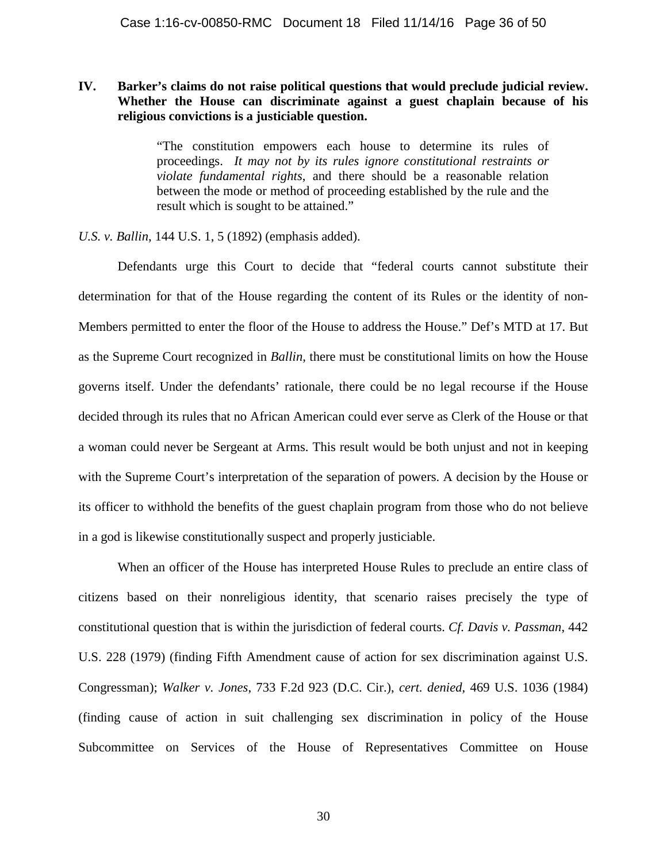## **IV. Barker's claims do not raise political questions that would preclude judicial review. Whether the House can discriminate against a guest chaplain because of his religious convictions is a justiciable question.**

"The constitution empowers each house to determine its rules of proceedings. *It may not by its rules ignore constitutional restraints or violate fundamental rights*, and there should be a reasonable relation between the mode or method of proceeding established by the rule and the result which is sought to be attained."

*U.S. v. Ballin*, 144 U.S. 1, 5 (1892) (emphasis added).

Defendants urge this Court to decide that "federal courts cannot substitute their determination for that of the House regarding the content of its Rules or the identity of non-Members permitted to enter the floor of the House to address the House." Def's MTD at 17. But as the Supreme Court recognized in *Ballin*, there must be constitutional limits on how the House governs itself. Under the defendants' rationale, there could be no legal recourse if the House decided through its rules that no African American could ever serve as Clerk of the House or that a woman could never be Sergeant at Arms. This result would be both unjust and not in keeping with the Supreme Court's interpretation of the separation of powers. A decision by the House or its officer to withhold the benefits of the guest chaplain program from those who do not believe in a god is likewise constitutionally suspect and properly justiciable.

When an officer of the House has interpreted House Rules to preclude an entire class of citizens based on their nonreligious identity, that scenario raises precisely the type of constitutional question that is within the jurisdiction of federal courts. *Cf. Davis v. Passman*, 442 U.S. 228 (1979) (finding Fifth Amendment cause of action for sex discrimination against U.S. Congressman); *Walker v. Jones*, 733 F.2d 923 (D.C. Cir.), *cert. denied*, 469 U.S. 1036 (1984) (finding cause of action in suit challenging sex discrimination in policy of the House Subcommittee on Services of the House of Representatives Committee on House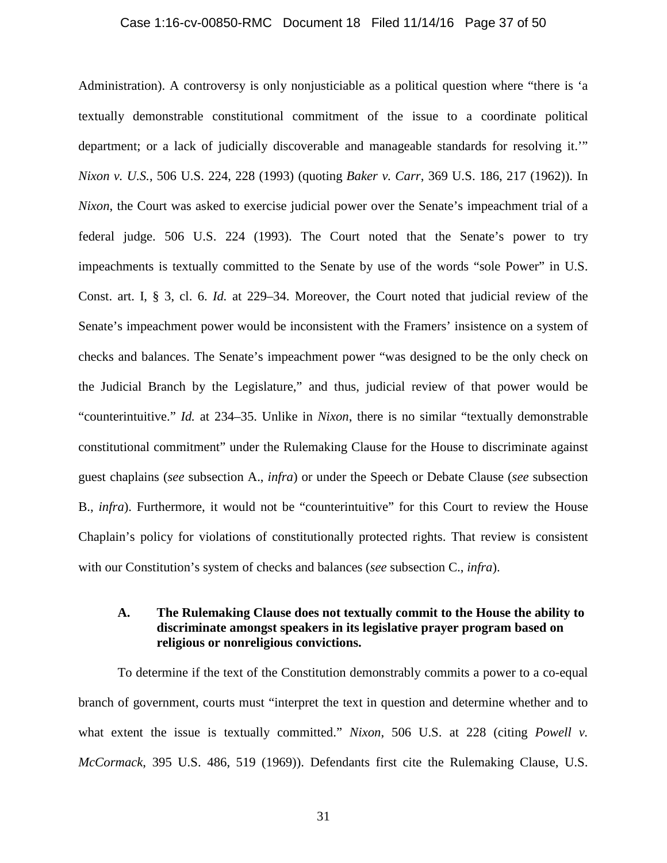#### Case 1:16-cv-00850-RMC Document 18 Filed 11/14/16 Page 37 of 50

Administration). A controversy is only nonjusticiable as a political question where "there is 'a textually demonstrable constitutional commitment of the issue to a coordinate political department; or a lack of judicially discoverable and manageable standards for resolving it.'" *Nixon v. U.S.*, 506 U.S. 224, 228 (1993) (quoting *Baker v. Carr*, 369 U.S. 186, 217 (1962)). In *Nixon*, the Court was asked to exercise judicial power over the Senate's impeachment trial of a federal judge. 506 U.S. 224 (1993). The Court noted that the Senate's power to try impeachments is textually committed to the Senate by use of the words "sole Power" in U.S. Const. art. I, § 3, cl. 6. *Id.* at 229–34. Moreover, the Court noted that judicial review of the Senate's impeachment power would be inconsistent with the Framers' insistence on a system of checks and balances. The Senate's impeachment power "was designed to be the only check on the Judicial Branch by the Legislature," and thus, judicial review of that power would be "counterintuitive." *Id.* at 234–35. Unlike in *Nixon*, there is no similar "textually demonstrable constitutional commitment" under the Rulemaking Clause for the House to discriminate against guest chaplains (*see* subsection A., *infra*) or under the Speech or Debate Clause (*see* subsection B., *infra*). Furthermore, it would not be "counterintuitive" for this Court to review the House Chaplain's policy for violations of constitutionally protected rights. That review is consistent with our Constitution's system of checks and balances (*see* subsection C., *infra*).

## **A. The Rulemaking Clause does not textually commit to the House the ability to discriminate amongst speakers in its legislative prayer program based on religious or nonreligious convictions.**

To determine if the text of the Constitution demonstrably commits a power to a co-equal branch of government, courts must "interpret the text in question and determine whether and to what extent the issue is textually committed." *Nixon*, 506 U.S. at 228 (citing *Powell v. McCormack*, 395 U.S. 486, 519 (1969)). Defendants first cite the Rulemaking Clause, U.S.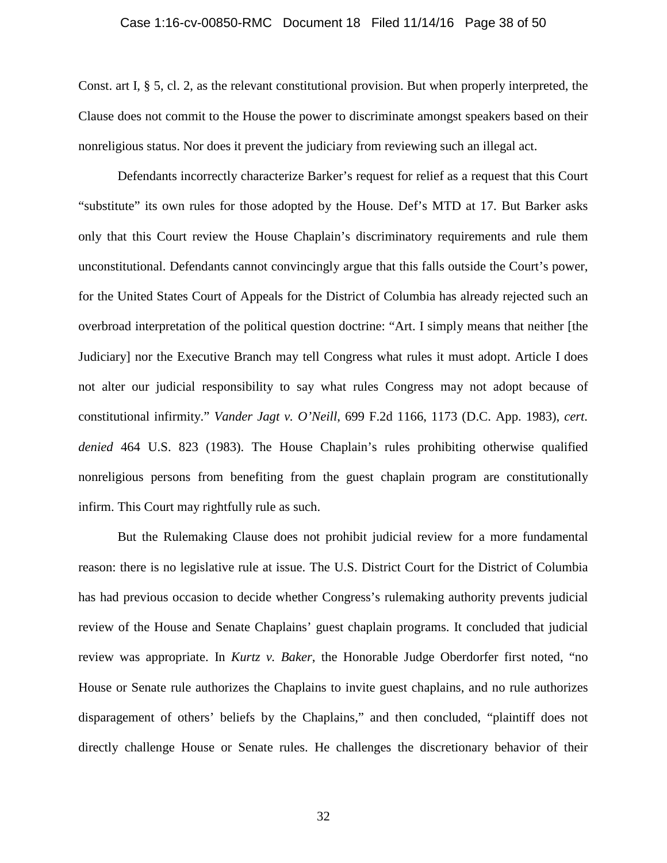#### Case 1:16-cv-00850-RMC Document 18 Filed 11/14/16 Page 38 of 50

Const. art I, § 5, cl. 2, as the relevant constitutional provision. But when properly interpreted, the Clause does not commit to the House the power to discriminate amongst speakers based on their nonreligious status. Nor does it prevent the judiciary from reviewing such an illegal act.

Defendants incorrectly characterize Barker's request for relief as a request that this Court "substitute" its own rules for those adopted by the House. Def's MTD at 17. But Barker asks only that this Court review the House Chaplain's discriminatory requirements and rule them unconstitutional. Defendants cannot convincingly argue that this falls outside the Court's power, for the United States Court of Appeals for the District of Columbia has already rejected such an overbroad interpretation of the political question doctrine: "Art. I simply means that neither [the Judiciary] nor the Executive Branch may tell Congress what rules it must adopt. Article I does not alter our judicial responsibility to say what rules Congress may not adopt because of constitutional infirmity." *Vander Jagt v. O'Neill*, 699 F.2d 1166, 1173 (D.C. App. 1983), *cert. denied* 464 U.S. 823 (1983). The House Chaplain's rules prohibiting otherwise qualified nonreligious persons from benefiting from the guest chaplain program are constitutionally infirm. This Court may rightfully rule as such.

But the Rulemaking Clause does not prohibit judicial review for a more fundamental reason: there is no legislative rule at issue. The U.S. District Court for the District of Columbia has had previous occasion to decide whether Congress's rulemaking authority prevents judicial review of the House and Senate Chaplains' guest chaplain programs. It concluded that judicial review was appropriate. In *Kurtz v. Baker*, the Honorable Judge Oberdorfer first noted, "no House or Senate rule authorizes the Chaplains to invite guest chaplains, and no rule authorizes disparagement of others' beliefs by the Chaplains," and then concluded, "plaintiff does not directly challenge House or Senate rules. He challenges the discretionary behavior of their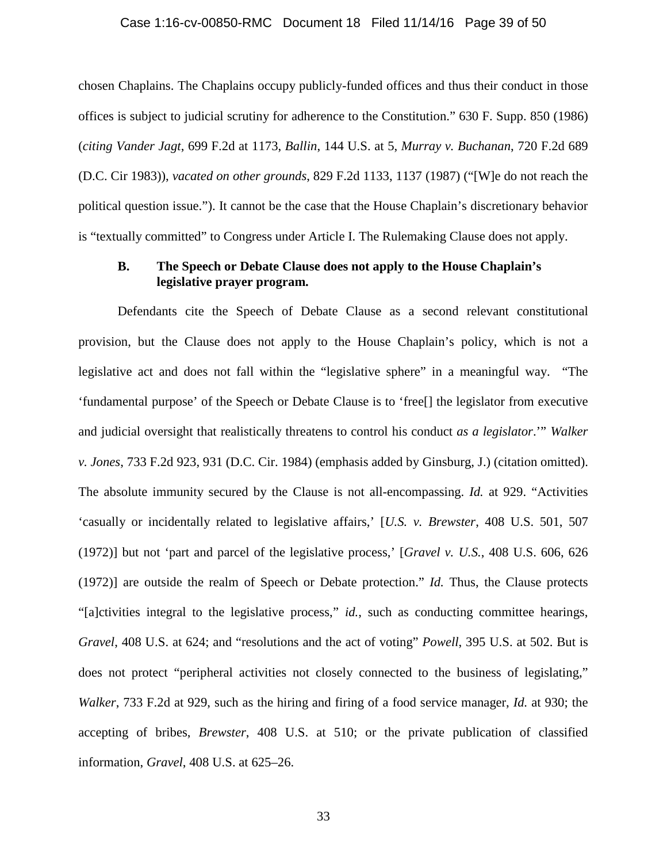#### Case 1:16-cv-00850-RMC Document 18 Filed 11/14/16 Page 39 of 50

chosen Chaplains. The Chaplains occupy publicly-funded offices and thus their conduct in those offices is subject to judicial scrutiny for adherence to the Constitution." 630 F. Supp. 850 (1986) (*citing Vander Jagt*, 699 F.2d at 1173, *Ballin*, 144 U.S. at 5, *Murray v. Buchanan*, 720 F.2d 689 (D.C. Cir 1983)), *vacated on other grounds*, 829 F.2d 1133, 1137 (1987) ("[W]e do not reach the political question issue."). It cannot be the case that the House Chaplain's discretionary behavior is "textually committed" to Congress under Article I. The Rulemaking Clause does not apply.

### **B. The Speech or Debate Clause does not apply to the House Chaplain's legislative prayer program.**

Defendants cite the Speech of Debate Clause as a second relevant constitutional provision, but the Clause does not apply to the House Chaplain's policy, which is not a legislative act and does not fall within the "legislative sphere" in a meaningful way. "The 'fundamental purpose' of the Speech or Debate Clause is to 'free[] the legislator from executive and judicial oversight that realistically threatens to control his conduct *as a legislator*.'" *Walker v. Jones*, 733 F.2d 923, 931 (D.C. Cir. 1984) (emphasis added by Ginsburg, J.) (citation omitted). The absolute immunity secured by the Clause is not all-encompassing. *Id.* at 929. "Activities 'casually or incidentally related to legislative affairs,' [*U.S. v. Brewster*, 408 U.S. 501, 507 (1972)] but not 'part and parcel of the legislative process,' [*Gravel v. U.S.*, 408 U.S. 606, 626 (1972)] are outside the realm of Speech or Debate protection." *Id.* Thus, the Clause protects "[a]ctivities integral to the legislative process," *id.*, such as conducting committee hearings, *Gravel*, 408 U.S. at 624; and "resolutions and the act of voting" *Powell*, 395 U.S. at 502. But is does not protect "peripheral activities not closely connected to the business of legislating," *Walker*, 733 F.2d at 929, such as the hiring and firing of a food service manager, *Id.* at 930; the accepting of bribes, *Brewster*, 408 U.S. at 510; or the private publication of classified information, *Gravel*, 408 U.S. at 625–26.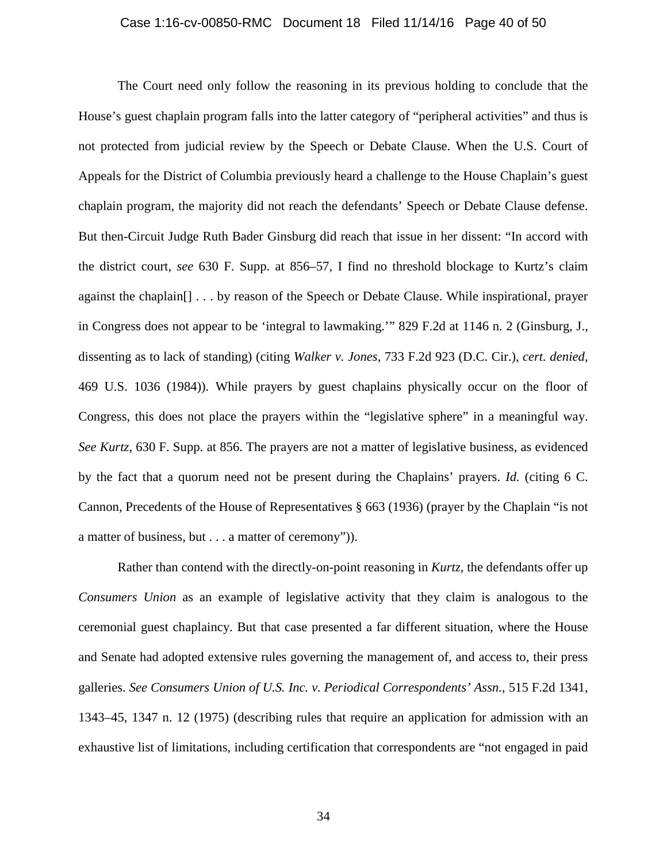#### Case 1:16-cv-00850-RMC Document 18 Filed 11/14/16 Page 40 of 50

The Court need only follow the reasoning in its previous holding to conclude that the House's guest chaplain program falls into the latter category of "peripheral activities" and thus is not protected from judicial review by the Speech or Debate Clause. When the U.S. Court of Appeals for the District of Columbia previously heard a challenge to the House Chaplain's guest chaplain program, the majority did not reach the defendants' Speech or Debate Clause defense. But then-Circuit Judge Ruth Bader Ginsburg did reach that issue in her dissent: "In accord with the district court, *see* 630 F. Supp. at 856–57, I find no threshold blockage to Kurtz's claim against the chaplain[] . . . by reason of the Speech or Debate Clause. While inspirational, prayer in Congress does not appear to be 'integral to lawmaking.'" 829 F.2d at 1146 n. 2 (Ginsburg, J., dissenting as to lack of standing) (citing *Walker v. Jones*, 733 F.2d 923 (D.C. Cir.), *cert. denied*, 469 U.S. 1036 (1984)). While prayers by guest chaplains physically occur on the floor of Congress, this does not place the prayers within the "legislative sphere" in a meaningful way. *See Kurtz*, 630 F. Supp. at 856. The prayers are not a matter of legislative business, as evidenced by the fact that a quorum need not be present during the Chaplains' prayers. *Id.* (citing 6 C. Cannon, Precedents of the House of Representatives § 663 (1936) (prayer by the Chaplain "is not a matter of business, but . . . a matter of ceremony")).

Rather than contend with the directly-on-point reasoning in *Kurtz*, the defendants offer up *Consumers Union* as an example of legislative activity that they claim is analogous to the ceremonial guest chaplaincy. But that case presented a far different situation, where the House and Senate had adopted extensive rules governing the management of, and access to, their press galleries. *See Consumers Union of U.S. Inc. v. Periodical Correspondents' Assn.*, 515 F.2d 1341, 1343–45, 1347 n. 12 (1975) (describing rules that require an application for admission with an exhaustive list of limitations, including certification that correspondents are "not engaged in paid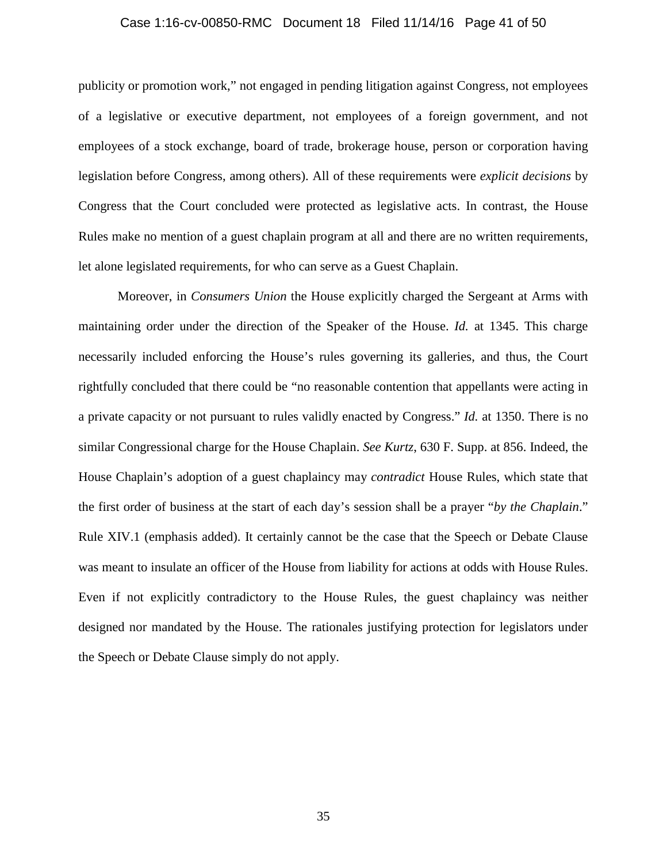## Case 1:16-cv-00850-RMC Document 18 Filed 11/14/16 Page 41 of 50

publicity or promotion work," not engaged in pending litigation against Congress, not employees of a legislative or executive department, not employees of a foreign government, and not employees of a stock exchange, board of trade, brokerage house, person or corporation having legislation before Congress, among others). All of these requirements were *explicit decisions* by Congress that the Court concluded were protected as legislative acts. In contrast, the House Rules make no mention of a guest chaplain program at all and there are no written requirements, let alone legislated requirements, for who can serve as a Guest Chaplain.

Moreover, in *Consumers Union* the House explicitly charged the Sergeant at Arms with maintaining order under the direction of the Speaker of the House. *Id.* at 1345. This charge necessarily included enforcing the House's rules governing its galleries, and thus, the Court rightfully concluded that there could be "no reasonable contention that appellants were acting in a private capacity or not pursuant to rules validly enacted by Congress." *Id.* at 1350. There is no similar Congressional charge for the House Chaplain. *See Kurtz*, 630 F. Supp. at 856. Indeed, the House Chaplain's adoption of a guest chaplaincy may *contradict* House Rules, which state that the first order of business at the start of each day's session shall be a prayer "*by the Chaplain*." Rule XIV.1 (emphasis added). It certainly cannot be the case that the Speech or Debate Clause was meant to insulate an officer of the House from liability for actions at odds with House Rules. Even if not explicitly contradictory to the House Rules, the guest chaplaincy was neither designed nor mandated by the House. The rationales justifying protection for legislators under the Speech or Debate Clause simply do not apply.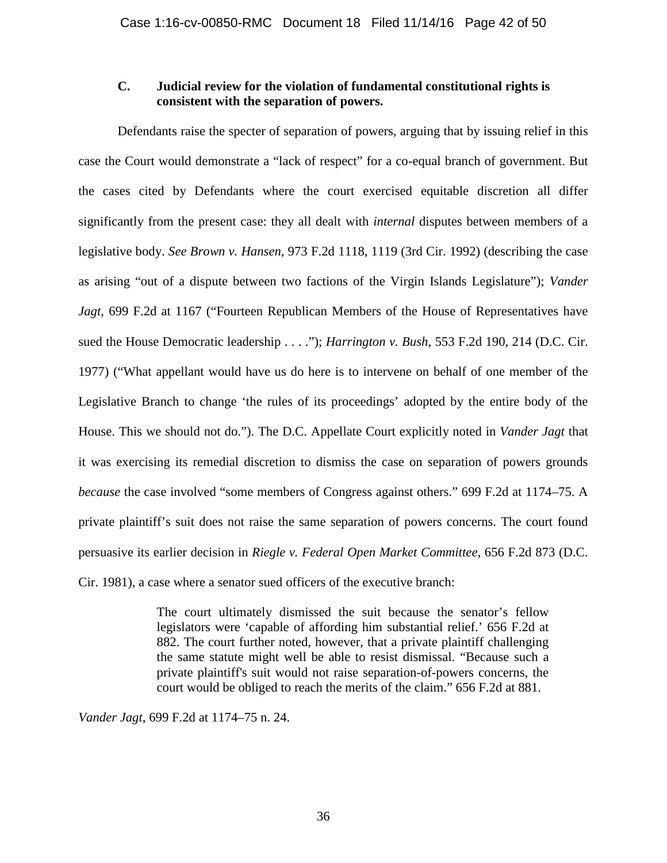## **C. Judicial review for the violation of fundamental constitutional rights is consistent with the separation of powers.**

Defendants raise the specter of separation of powers, arguing that by issuing relief in this case the Court would demonstrate a "lack of respect" for a co-equal branch of government. But the cases cited by Defendants where the court exercised equitable discretion all differ significantly from the present case: they all dealt with *internal* disputes between members of a legislative body. *See Brown v. Hansen*, 973 F.2d 1118, 1119 (3rd Cir. 1992) (describing the case as arising "out of a dispute between two factions of the Virgin Islands Legislature"); *Vander Jagt*, 699 F.2d at 1167 ("Fourteen Republican Members of the House of Representatives have sued the House Democratic leadership . . . ."); *Harrington v. Bush*, 553 F.2d 190, 214 (D.C. Cir. 1977) ("What appellant would have us do here is to intervene on behalf of one member of the Legislative Branch to change 'the rules of its proceedings' adopted by the entire body of the House. This we should not do."). The D.C. Appellate Court explicitly noted in *Vander Jagt* that it was exercising its remedial discretion to dismiss the case on separation of powers grounds *because* the case involved "some members of Congress against others." 699 F.2d at 1174–75. A private plaintiff's suit does not raise the same separation of powers concerns. The court found persuasive its earlier decision in *Riegle v. Federal Open Market Committee*, 656 F.2d 873 (D.C.

Cir. 1981), a case where a senator sued officers of the executive branch:

The court ultimately dismissed the suit because the senator's fellow legislators were 'capable of affording him substantial relief.' 656 F.2d at 882. The court further noted, however, that a private plaintiff challenging the same statute might well be able to resist dismissal. "Because such a private plaintiff's suit would not raise separation-of-powers concerns, the court would be obliged to reach the merits of the claim." 656 F.2d at 881.

*Vander Jagt*, 699 F.2d at 1174–75 n. 24.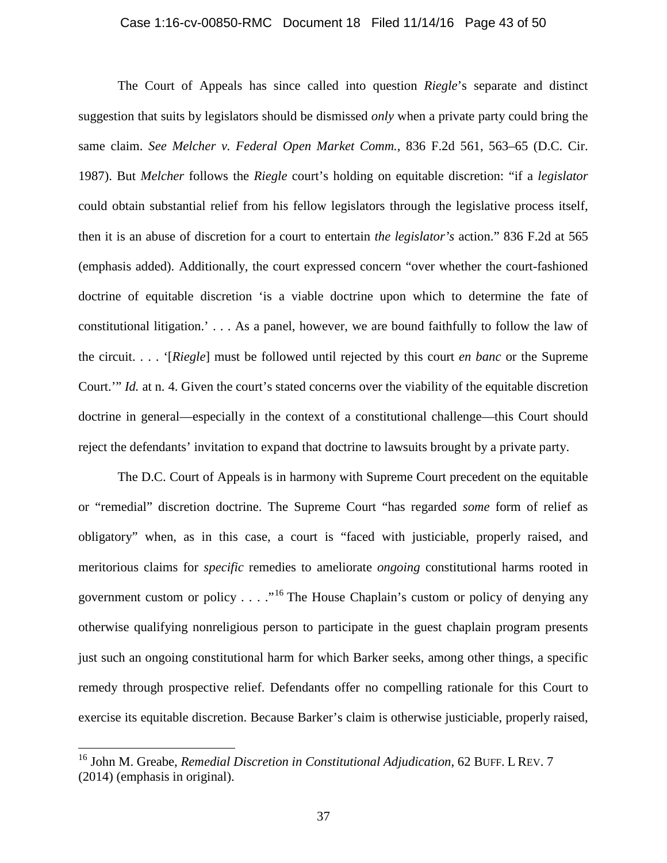#### Case 1:16-cv-00850-RMC Document 18 Filed 11/14/16 Page 43 of 50

The Court of Appeals has since called into question *Riegle*'s separate and distinct suggestion that suits by legislators should be dismissed *only* when a private party could bring the same claim. *See Melcher v. Federal Open Market Comm.*, 836 F.2d 561, 563–65 (D.C. Cir. 1987). But *Melcher* follows the *Riegle* court's holding on equitable discretion: "if a *legislator* could obtain substantial relief from his fellow legislators through the legislative process itself, then it is an abuse of discretion for a court to entertain *the legislator's* action." 836 F.2d at 565 (emphasis added). Additionally, the court expressed concern "over whether the court-fashioned doctrine of equitable discretion 'is a viable doctrine upon which to determine the fate of constitutional litigation.' . . . As a panel, however, we are bound faithfully to follow the law of the circuit. . . . '[*Riegle*] must be followed until rejected by this court *en banc* or the Supreme Court.'" *Id.* at n. 4. Given the court's stated concerns over the viability of the equitable discretion doctrine in general—especially in the context of a constitutional challenge—this Court should reject the defendants' invitation to expand that doctrine to lawsuits brought by a private party.

The D.C. Court of Appeals is in harmony with Supreme Court precedent on the equitable or "remedial" discretion doctrine. The Supreme Court "has regarded *some* form of relief as obligatory" when, as in this case, a court is "faced with justiciable, properly raised, and meritorious claims for *specific* remedies to ameliorate *ongoing* constitutional harms rooted in government custom or policy  $\dots$  ..."<sup>16</sup> The House Chaplain's custom or policy of denying any otherwise qualifying nonreligious person to participate in the guest chaplain program presents just such an ongoing constitutional harm for which Barker seeks, among other things, a specific remedy through prospective relief. Defendants offer no compelling rationale for this Court to exercise its equitable discretion. Because Barker's claim is otherwise justiciable, properly raised,

 $\overline{a}$ 

<sup>16</sup> John M. Greabe, *Remedial Discretion in Constitutional Adjudication*, 62 BUFF. L REV. 7 (2014) (emphasis in original).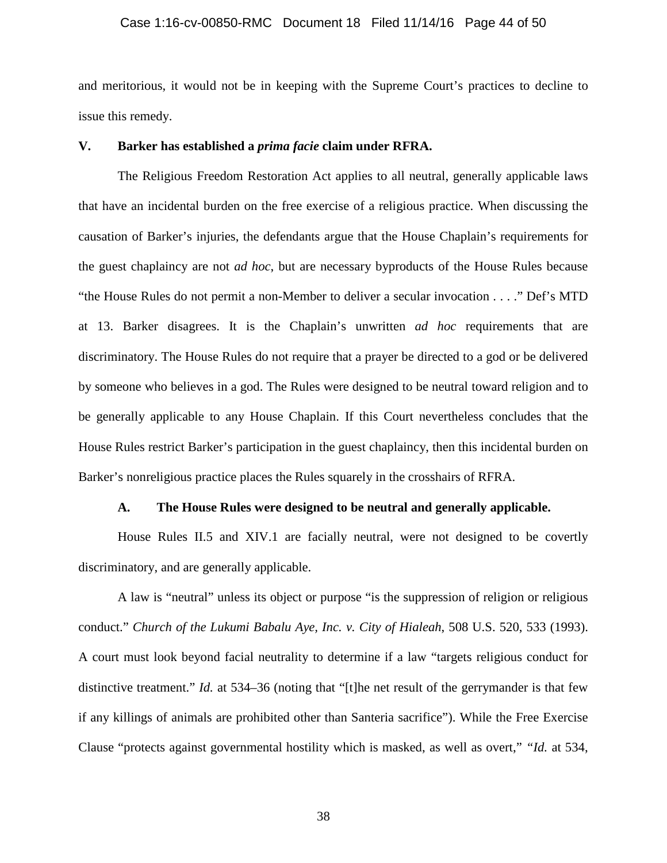#### Case 1:16-cv-00850-RMC Document 18 Filed 11/14/16 Page 44 of 50

and meritorious, it would not be in keeping with the Supreme Court's practices to decline to issue this remedy.

### **V. Barker has established a** *prima facie* **claim under RFRA.**

The Religious Freedom Restoration Act applies to all neutral, generally applicable laws that have an incidental burden on the free exercise of a religious practice. When discussing the causation of Barker's injuries, the defendants argue that the House Chaplain's requirements for the guest chaplaincy are not *ad hoc*, but are necessary byproducts of the House Rules because "the House Rules do not permit a non-Member to deliver a secular invocation . . . ." Def's MTD at 13. Barker disagrees. It is the Chaplain's unwritten *ad hoc* requirements that are discriminatory. The House Rules do not require that a prayer be directed to a god or be delivered by someone who believes in a god. The Rules were designed to be neutral toward religion and to be generally applicable to any House Chaplain. If this Court nevertheless concludes that the House Rules restrict Barker's participation in the guest chaplaincy, then this incidental burden on Barker's nonreligious practice places the Rules squarely in the crosshairs of RFRA.

#### **A. The House Rules were designed to be neutral and generally applicable.**

House Rules II.5 and XIV.1 are facially neutral, were not designed to be covertly discriminatory, and are generally applicable.

A law is "neutral" unless its object or purpose "is the suppression of religion or religious conduct." *Church of the Lukumi Babalu Aye, Inc. v. City of Hialeah*, 508 U.S. 520, 533 (1993). A court must look beyond facial neutrality to determine if a law "targets religious conduct for distinctive treatment." *Id.* at 534–36 (noting that "[t]he net result of the gerrymander is that few if any killings of animals are prohibited other than Santeria sacrifice"). While the Free Exercise Clause "protects against governmental hostility which is masked, as well as overt," *"Id.* at 534,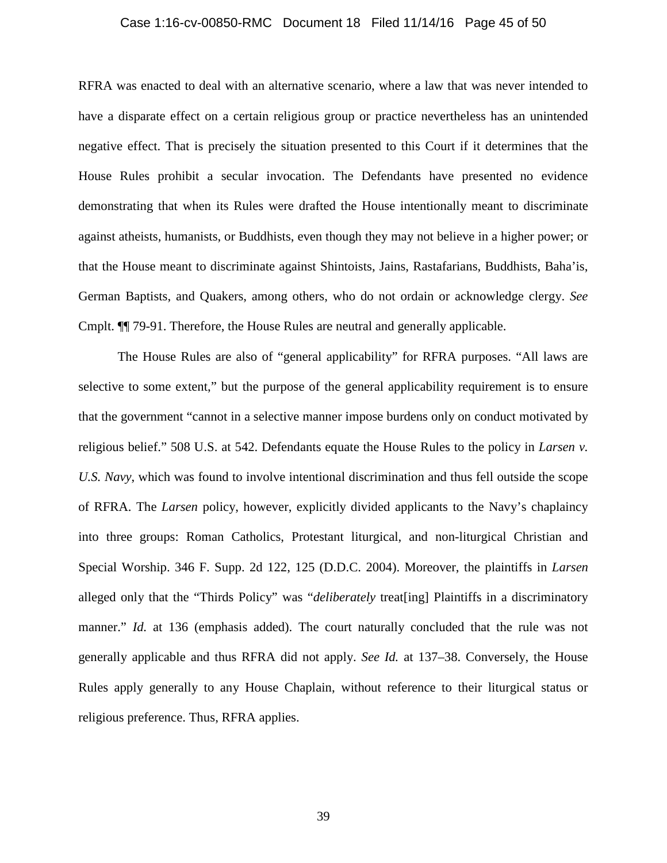#### Case 1:16-cv-00850-RMC Document 18 Filed 11/14/16 Page 45 of 50

RFRA was enacted to deal with an alternative scenario, where a law that was never intended to have a disparate effect on a certain religious group or practice nevertheless has an unintended negative effect. That is precisely the situation presented to this Court if it determines that the House Rules prohibit a secular invocation. The Defendants have presented no evidence demonstrating that when its Rules were drafted the House intentionally meant to discriminate against atheists, humanists, or Buddhists, even though they may not believe in a higher power; or that the House meant to discriminate against Shintoists, Jains, Rastafarians, Buddhists, Baha'is, German Baptists, and Quakers, among others, who do not ordain or acknowledge clergy. *See*  Cmplt. ¶¶ 79-91. Therefore, the House Rules are neutral and generally applicable.

The House Rules are also of "general applicability" for RFRA purposes. "All laws are selective to some extent," but the purpose of the general applicability requirement is to ensure that the government "cannot in a selective manner impose burdens only on conduct motivated by religious belief." 508 U.S. at 542. Defendants equate the House Rules to the policy in *Larsen v. U.S. Navy*, which was found to involve intentional discrimination and thus fell outside the scope of RFRA. The *Larsen* policy, however, explicitly divided applicants to the Navy's chaplaincy into three groups: Roman Catholics, Protestant liturgical, and non-liturgical Christian and Special Worship. 346 F. Supp. 2d 122, 125 (D.D.C. 2004). Moreover, the plaintiffs in *Larsen*  alleged only that the "Thirds Policy" was "*deliberately* treat[ing] Plaintiffs in a discriminatory manner." *Id.* at 136 (emphasis added). The court naturally concluded that the rule was not generally applicable and thus RFRA did not apply. *See Id.* at 137–38. Conversely, the House Rules apply generally to any House Chaplain, without reference to their liturgical status or religious preference. Thus, RFRA applies.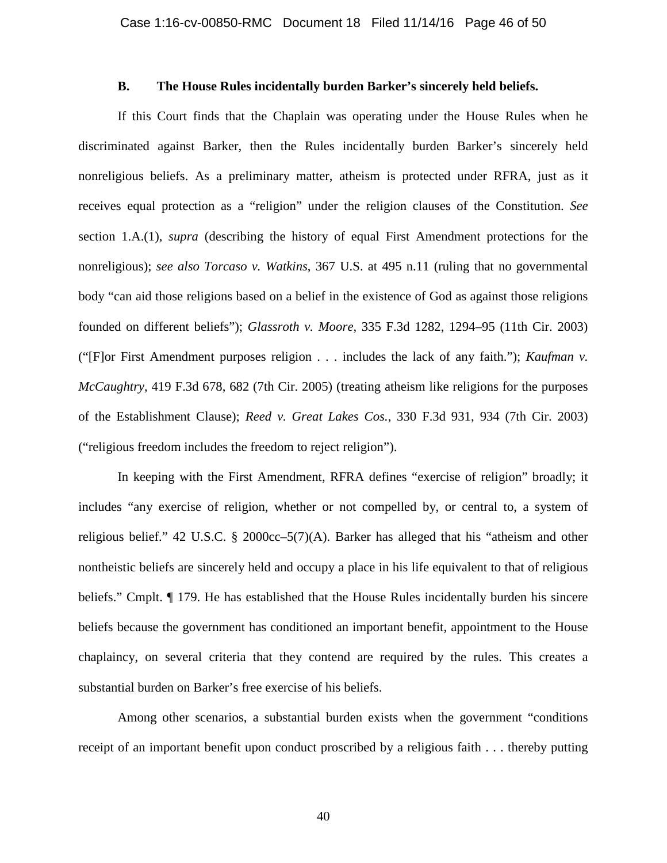## **B. The House Rules incidentally burden Barker's sincerely held beliefs.**

If this Court finds that the Chaplain was operating under the House Rules when he discriminated against Barker, then the Rules incidentally burden Barker's sincerely held nonreligious beliefs. As a preliminary matter, atheism is protected under RFRA, just as it receives equal protection as a "religion" under the religion clauses of the Constitution. *See* section 1.A.(1), *supra* (describing the history of equal First Amendment protections for the nonreligious); *see also Torcaso v. Watkins*, 367 U.S. at 495 n.11 (ruling that no governmental body "can aid those religions based on a belief in the existence of God as against those religions founded on different beliefs"); *Glassroth v. Moore*, 335 F.3d 1282, 1294–95 (11th Cir. 2003) ("[F]or First Amendment purposes religion . . . includes the lack of any faith."); *Kaufman v. McCaughtry*, 419 F.3d 678, 682 (7th Cir. 2005) (treating atheism like religions for the purposes of the Establishment Clause); *Reed v. Great Lakes Cos.*, 330 F.3d 931, 934 (7th Cir. 2003) ("religious freedom includes the freedom to reject religion").

In keeping with the First Amendment, RFRA defines "exercise of religion" broadly; it includes "any exercise of religion, whether or not compelled by, or central to, a system of religious belief." 42 U.S.C. § 2000cc–5(7)(A). Barker has alleged that his "atheism and other nontheistic beliefs are sincerely held and occupy a place in his life equivalent to that of religious beliefs." Cmplt. ¶ 179. He has established that the House Rules incidentally burden his sincere beliefs because the government has conditioned an important benefit, appointment to the House chaplaincy, on several criteria that they contend are required by the rules. This creates a substantial burden on Barker's free exercise of his beliefs.

Among other scenarios, a substantial burden exists when the government "conditions receipt of an important benefit upon conduct proscribed by a religious faith . . . thereby putting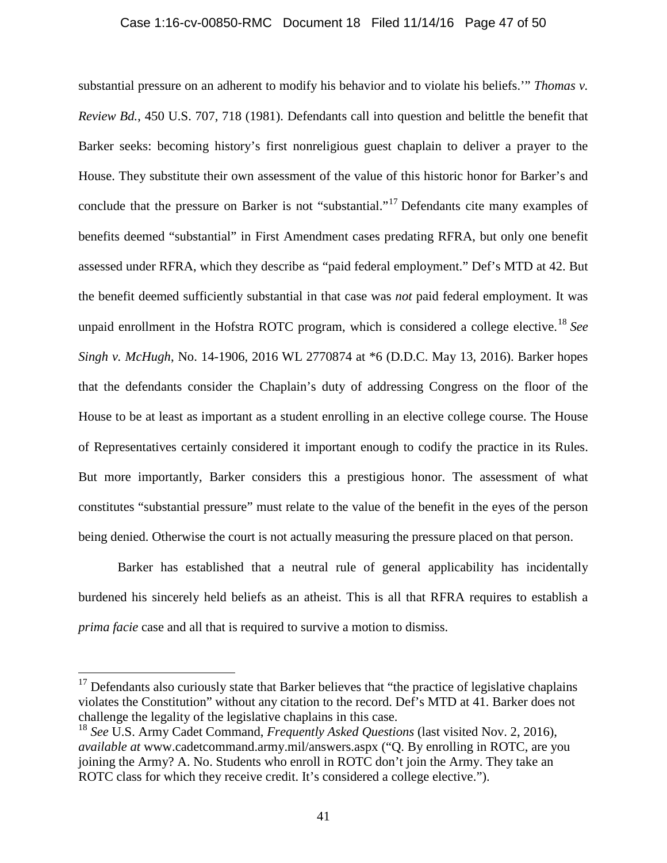#### Case 1:16-cv-00850-RMC Document 18 Filed 11/14/16 Page 47 of 50

substantial pressure on an adherent to modify his behavior and to violate his beliefs.'" *Thomas v. Review Bd.*, 450 U.S. 707, 718 (1981). Defendants call into question and belittle the benefit that Barker seeks: becoming history's first nonreligious guest chaplain to deliver a prayer to the House. They substitute their own assessment of the value of this historic honor for Barker's and conclude that the pressure on Barker is not "substantial."<sup>17</sup> Defendants cite many examples of benefits deemed "substantial" in First Amendment cases predating RFRA, but only one benefit assessed under RFRA, which they describe as "paid federal employment." Def's MTD at 42. But the benefit deemed sufficiently substantial in that case was *not* paid federal employment. It was unpaid enrollment in the Hofstra ROTC program, which is considered a college elective.<sup>18</sup> *See Singh v. McHugh*, No. 14-1906, 2016 WL 2770874 at \*6 (D.D.C. May 13, 2016). Barker hopes that the defendants consider the Chaplain's duty of addressing Congress on the floor of the House to be at least as important as a student enrolling in an elective college course. The House of Representatives certainly considered it important enough to codify the practice in its Rules. But more importantly, Barker considers this a prestigious honor. The assessment of what constitutes "substantial pressure" must relate to the value of the benefit in the eyes of the person being denied. Otherwise the court is not actually measuring the pressure placed on that person.

Barker has established that a neutral rule of general applicability has incidentally burdened his sincerely held beliefs as an atheist. This is all that RFRA requires to establish a *prima facie* case and all that is required to survive a motion to dismiss.

 $\overline{a}$ 

 $17$  Defendants also curiously state that Barker believes that "the practice of legislative chaplains violates the Constitution" without any citation to the record. Def's MTD at 41. Barker does not challenge the legality of the legislative chaplains in this case.

<sup>&</sup>lt;sup>18</sup> See U.S. Army Cadet Command, *Frequently Asked Questions* (last visited Nov. 2, 2016), *available at* www.cadetcommand.army.mil/answers.aspx ("Q. By enrolling in ROTC, are you joining the Army? A. No. Students who enroll in ROTC don't join the Army. They take an ROTC class for which they receive credit. It's considered a college elective.").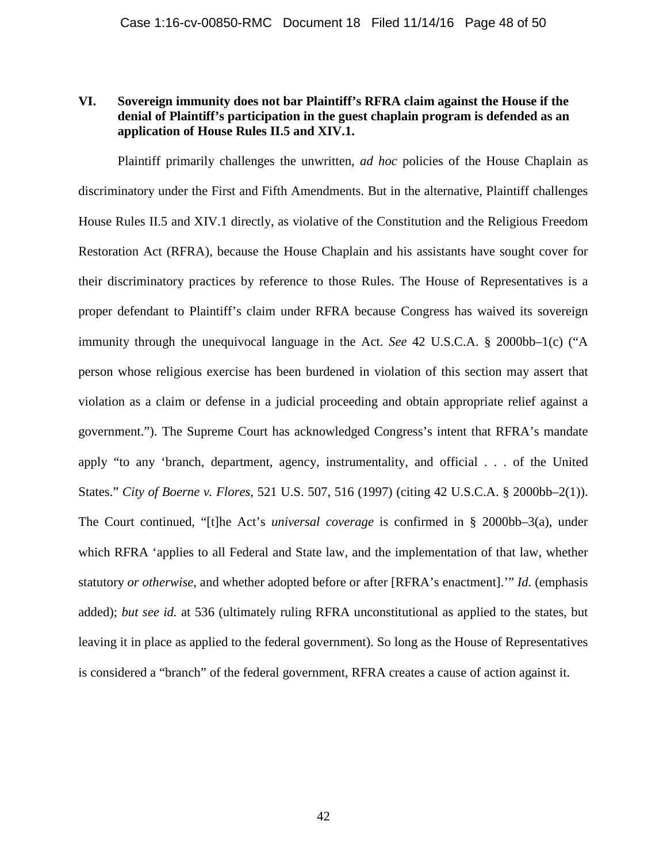## **VI. Sovereign immunity does not bar Plaintiff's RFRA claim against the House if the denial of Plaintiff's participation in the guest chaplain program is defended as an application of House Rules II.5 and XIV.1.**

Plaintiff primarily challenges the unwritten, *ad hoc* policies of the House Chaplain as discriminatory under the First and Fifth Amendments. But in the alternative, Plaintiff challenges House Rules II.5 and XIV.1 directly, as violative of the Constitution and the Religious Freedom Restoration Act (RFRA), because the House Chaplain and his assistants have sought cover for their discriminatory practices by reference to those Rules. The House of Representatives is a proper defendant to Plaintiff's claim under RFRA because Congress has waived its sovereign immunity through the unequivocal language in the Act. *See* 42 U.S.C.A. § 2000bb–1(c) ("A person whose religious exercise has been burdened in violation of this section may assert that violation as a claim or defense in a judicial proceeding and obtain appropriate relief against a government."). The Supreme Court has acknowledged Congress's intent that RFRA's mandate apply "to any 'branch, department, agency, instrumentality, and official . . . of the United States." *City of Boerne v. Flores*, 521 U.S. 507, 516 (1997) (citing 42 U.S.C.A. § 2000bb–2(1)). The Court continued, "[t]he Act's *universal coverage* is confirmed in § 2000bb–3(a), under which RFRA 'applies to all Federal and State law, and the implementation of that law, whether statutory *or otherwise*, and whether adopted before or after [RFRA's enactment].'" *Id.* (emphasis added); *but see id.* at 536 (ultimately ruling RFRA unconstitutional as applied to the states, but leaving it in place as applied to the federal government). So long as the House of Representatives is considered a "branch" of the federal government, RFRA creates a cause of action against it.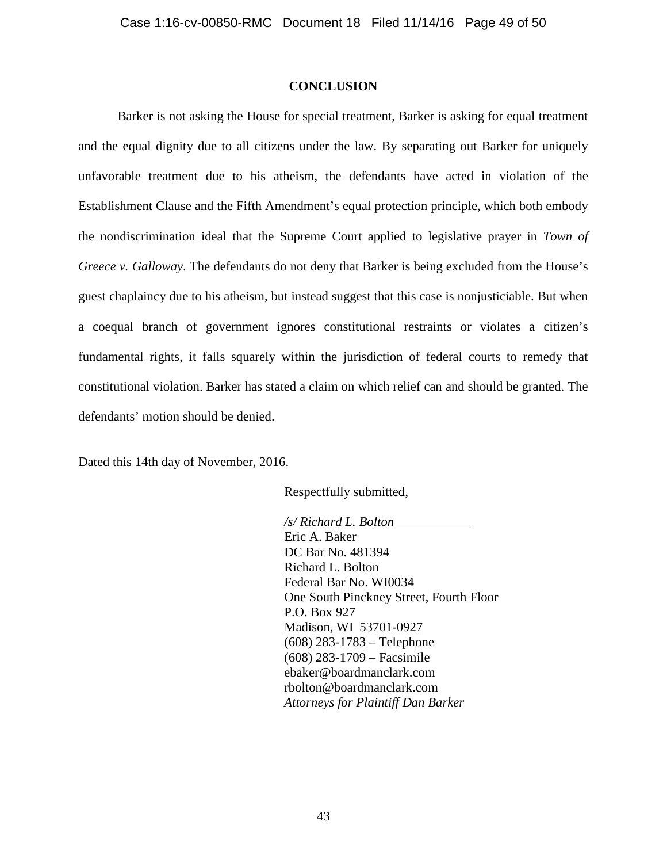#### **CONCLUSION**

Barker is not asking the House for special treatment, Barker is asking for equal treatment and the equal dignity due to all citizens under the law. By separating out Barker for uniquely unfavorable treatment due to his atheism, the defendants have acted in violation of the Establishment Clause and the Fifth Amendment's equal protection principle, which both embody the nondiscrimination ideal that the Supreme Court applied to legislative prayer in *Town of Greece v. Galloway*. The defendants do not deny that Barker is being excluded from the House's guest chaplaincy due to his atheism, but instead suggest that this case is nonjusticiable. But when a coequal branch of government ignores constitutional restraints or violates a citizen's fundamental rights, it falls squarely within the jurisdiction of federal courts to remedy that constitutional violation. Barker has stated a claim on which relief can and should be granted. The defendants' motion should be denied.

Dated this 14th day of November, 2016.

Respectfully submitted,

*/s/ Richard L. Bolton* Eric A. Baker DC Bar No. 481394 Richard L. Bolton Federal Bar No. WI0034 One South Pinckney Street, Fourth Floor P.O. Box 927 Madison, WI 53701-0927 (608) 283-1783 – Telephone (608) 283-1709 – Facsimile ebaker@boardmanclark.com rbolton@boardmanclark.com *Attorneys for Plaintiff Dan Barker*